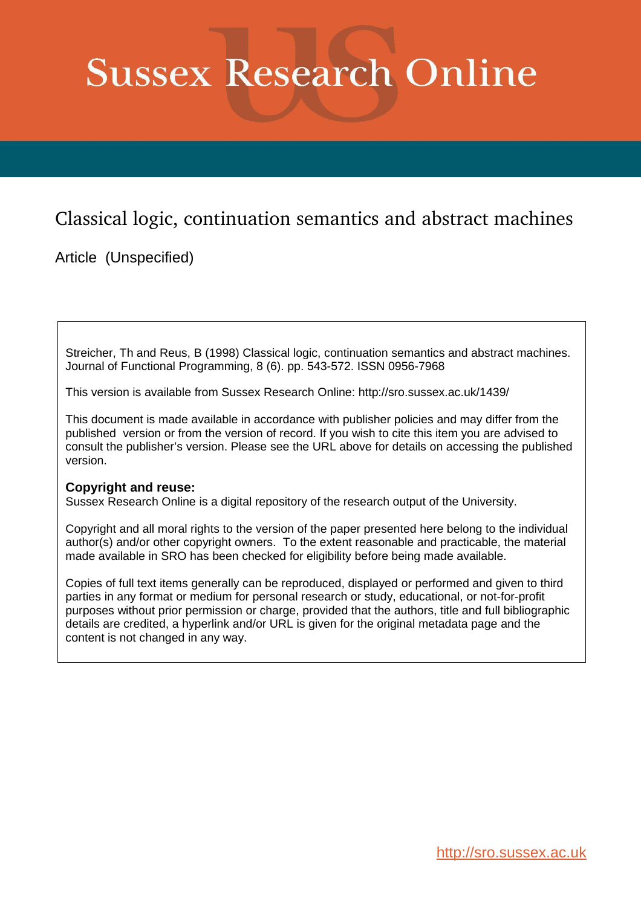# **Sussex Research Online**

# Classical logic, continuation semantics and abstract machines

Article (Unspecified)

Streicher, Th and Reus, B (1998) Classical logic, continuation semantics and abstract machines. Journal of Functional Programming, 8 (6). pp. 543-572. ISSN 0956-7968

This version is available from Sussex Research Online: http://sro.sussex.ac.uk/1439/

This document is made available in accordance with publisher policies and may differ from the published version or from the version of record. If you wish to cite this item you are advised to consult the publisher's version. Please see the URL above for details on accessing the published version.

## **Copyright and reuse:**

Sussex Research Online is a digital repository of the research output of the University.

Copyright and all moral rights to the version of the paper presented here belong to the individual author(s) and/or other copyright owners. To the extent reasonable and practicable, the material made available in SRO has been checked for eligibility before being made available.

Copies of full text items generally can be reproduced, displayed or performed and given to third parties in any format or medium for personal research or study, educational, or not-for-profit purposes without prior permission or charge, provided that the authors, title and full bibliographic details are credited, a hyperlink and/or URL is given for the original metadata page and the content is not changed in any way.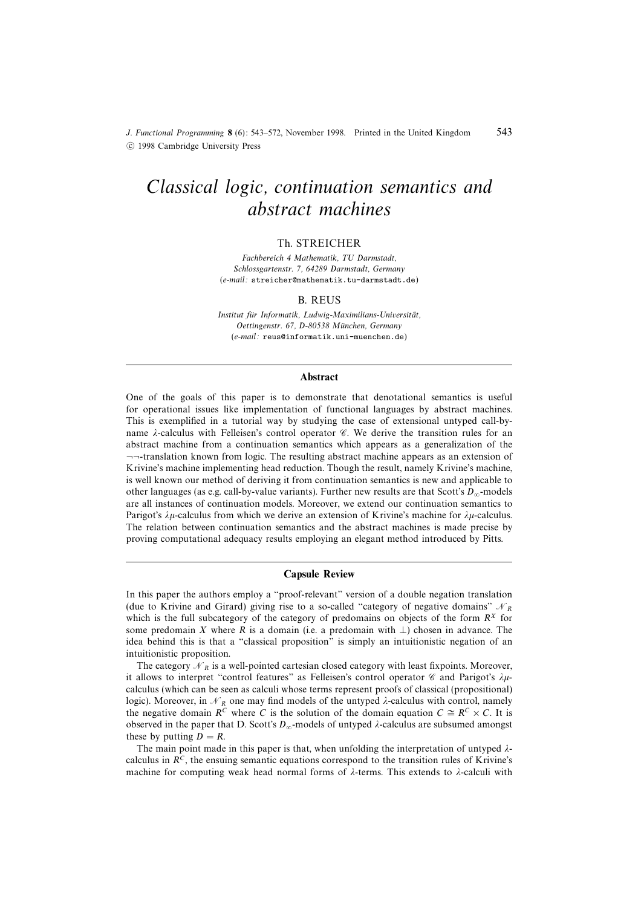*J. Functional Programming* 8 (6): 543–572, November 1998. Printed in the United Kingdom c 1998 Cambridge University Press 543

# *Classical logic, continuation semantics and abstract machines*

#### Th. STREICHER

*Fachbereich 4 Mathematik, TU Darmstadt, Schlossgartenstr. 7, 64289 Darmstadt, Germany* (*e-mail:* streicher@mathematik.tu-darmstadt.de)

#### B. REUS

*Institut fur Informatik, Ludwig-Maximilians-Universit ¨ at, ˝ Oettingenstr. 67, D-80538 Munchen, Germany ¨* (*e-mail:* reus@informatik.uni-muenchen.de)

#### Abstract

One of the goals of this paper is to demonstrate that denotational semantics is useful for operational issues like implementation of functional languages by abstract machines. This is exemplified in a tutorial way by studying the case of extensional untyped call-byname  $\lambda$ -calculus with Felleisen's control operator  $\mathscr C$ . We derive the transition rules for an abstract machine from a continuation semantics which appears as a generalization of the ¬¬-translation known from logic. The resulting abstract machine appears as an extension of Krivine's machine implementing head reduction. Though the result, namely Krivine's machine, is well known our method of deriving it from continuation semantics is new and applicable to other languages (as e.g. call-by-value variants). Further new results are that Scott's  $D_{\infty}$ -models are all instances of continuation models. Moreover, we extend our continuation semantics to Parigot's  $\lambda \mu$ -calculus from which we derive an extension of Krivine's machine for  $\lambda \mu$ -calculus. The relation between continuation semantics and the abstract machines is made precise by proving computational adequacy results employing an elegant method introduced by Pitts.

#### Capsule Review

In this paper the authors employ a "proof-relevant" version of a double negation translation (due to Krivine and Girard) giving rise to a so-called "category of negative domains"  $\mathcal{N}_R$ which is the full subcategory of the category of predomains on objects of the form  $R<sup>X</sup>$  for some predomain X where R is a domain (i.e. a predomain with  $\perp$ ) chosen in advance. The idea behind this is that a "classical proposition" is simply an intuitionistic negation of an intuitionistic proposition.

The category  $\mathcal{N}_R$  is a well-pointed cartesian closed category with least fixpoints. Moreover, it allows to interpret "control features" as Felleisen's control operator  $\mathscr C$  and Parigot's  $\lambda \mu$ calculus (which can be seen as calculi whose terms represent proofs of classical (propositional) logic). Moreover, in  $\mathcal{N}_R$  one may find models of the untyped  $\lambda$ -calculus with control, namely the negative domain  $R^C$  where C is the solution of the domain equation  $C \cong R^C \times C$ . It is observed in the paper that D. Scott's  $D_{\infty}$ -models of untyped  $\lambda$ -calculus are subsumed amongst these by putting  $D = R$ .

The main point made in this paper is that, when unfolding the interpretation of untyped  $\lambda$ calculus in  $R^C$ , the ensuing semantic equations correspond to the transition rules of Krivine's machine for computing weak head normal forms of  $\lambda$ -terms. This extends to  $\lambda$ -calculi with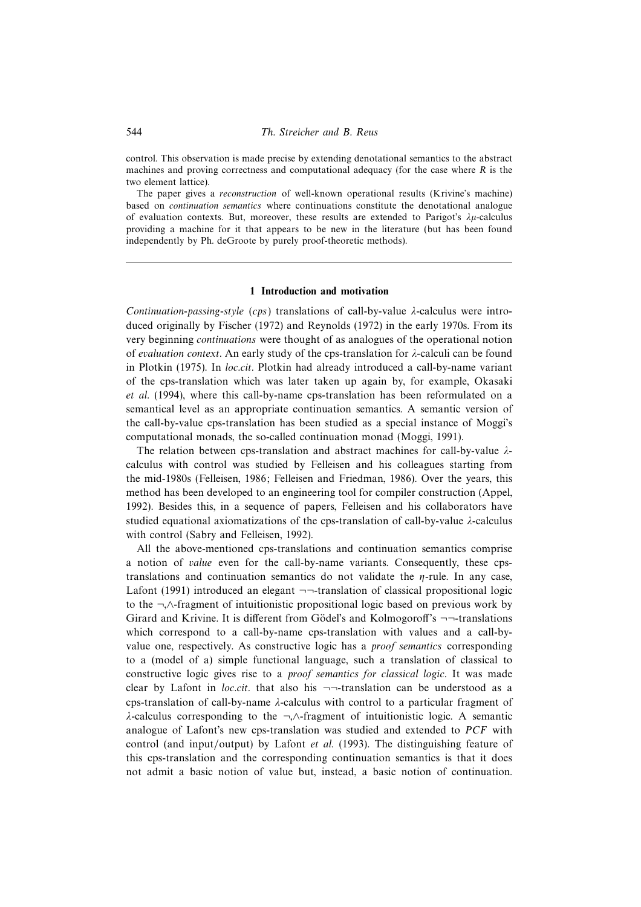control. This observation is made precise by extending denotational semantics to the abstract machines and proving correctness and computational adequacy (for the case where  $R$  is the two element lattice).

The paper gives a *reconstruction* of well-known operational results (Krivine's machine) based on *continuation semantics* where continuations constitute the denotational analogue of evaluation contexts. But, moreover, these results are extended to Parigot's  $\lambda \mu$ -calculus providing a machine for it that appears to be new in the literature (but has been found independently by Ph. deGroote by purely proof-theoretic methods).

#### 1 Introduction and motivation

*Continuation-passing-style* (*cps*) translations of call-by-value λ-calculus were introduced originally by Fischer (1972) and Reynolds (1972) in the early 1970s. From its very beginning *continuations* were thought of as analogues of the operational notion of *evaluation context*. An early study of the cps-translation for λ-calculi can be found in Plotkin (1975). In *loc.cit.* Plotkin had already introduced a call-by-name variant of the cps-translation which was later taken up again by, for example, Okasaki *et al*. (1994), where this call-by-name cps-translation has been reformulated on a semantical level as an appropriate continuation semantics. A semantic version of the call-by-value cps-translation has been studied as a special instance of Moggi's computational monads, the so-called continuation monad (Moggi, 1991).

The relation between cps-translation and abstract machines for call-by-value  $\lambda$ calculus with control was studied by Felleisen and his colleagues starting from the mid-1980s (Felleisen, 1986; Felleisen and Friedman, 1986). Over the years, this method has been developed to an engineering tool for compiler construction (Appel, 1992). Besides this, in a sequence of papers, Felleisen and his collaborators have studied equational axiomatizations of the cps-translation of call-by-value λ-calculus with control (Sabry and Felleisen, 1992).

All the above-mentioned cps-translations and continuation semantics comprise a notion of *value* even for the call-by-name variants. Consequently, these cpstranslations and continuation semantics do not validate the  $\eta$ -rule. In any case, Lafont (1991) introduced an elegant  $\neg$ -translation of classical propositional logic to the ¬,∧-fragment of intuitionistic propositional logic based on previous work by Girard and Krivine. It is different from Gödel's and Kolmogoroff's  $\neg\neg$ -translations which correspond to a call-by-name cps-translation with values and a call-byvalue one, respectively. As constructive logic has a *proof semantics* corresponding to a (model of a) simple functional language, such a translation of classical to constructive logic gives rise to a *proof semantics for classical logic*. It was made clear by Lafont in *loc.cit.* that also his  $\neg$ -translation can be understood as a cps-translation of call-by-name λ-calculus with control to a particular fragment of λ-calculus corresponding to the ¬,∧-fragment of intuitionistic logic. A semantic analogue of Lafont's new cps-translation was studied and extended to *PCF* with control (and input/output) by Lafont *et al*. (1993). The distinguishing feature of this cps-translation and the corresponding continuation semantics is that it does not admit a basic notion of value but, instead, a basic notion of continuation.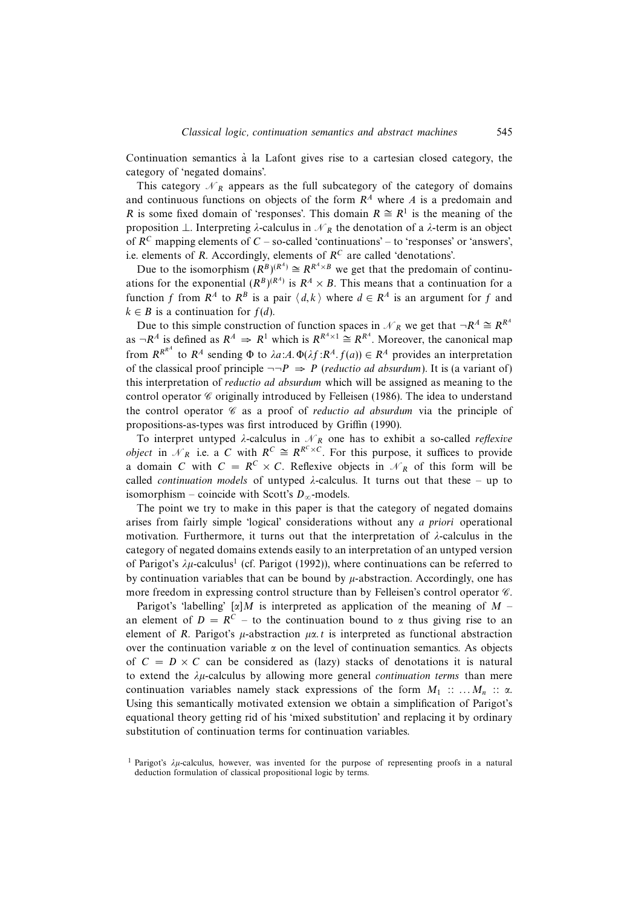Continuation semantics à la Lafont gives rise to a cartesian closed category, the category of 'negated domains'.

This category  $\mathcal{N}_R$  appears as the full subcategory of the category of domains and continuous functions on objects of the form  $R<sup>A</sup>$  where A is a predomain and R is some fixed domain of 'responses'. This domain  $R \cong R<sup>1</sup>$  is the meaning of the proposition  $\perp$ . Interpreting  $\lambda$ -calculus in  $\mathcal{N}_R$  the denotation of a  $\lambda$ -term is an object of  $R^C$  mapping elements of  $C$  – so-called 'continuations' – to 'responses' or 'answers', i.e. elements of R. Accordingly, elements of  $R^C$  are called 'denotations'.

Due to the isomorphism  $(R^B)^{(R^A)} \cong R^{R^A \times B}$  we get that the predomain of continuations for the exponential  $(R^B)^{(R^A)}$  is  $R^A \times B$ . This means that a continuation for a function f from  $R^A$  to  $R^B$  is a pair  $\langle d, k \rangle$  where  $d \in R^A$  is an argument for f and  $k \in B$  is a continuation for  $f(d)$ .

Due to this simple construction of function spaces in  $\mathcal{N}_R$  we get that  $\neg R^A \cong R^{R^A}$ as  $\neg R^A$  is defined as  $R^A \Rightarrow R^1$  which is  $R^{R^A \times 1} \cong R^{R^A}$ . Moreover, the canonical map from  $R^{R^{n^4}}$  to  $R^A$  sending  $\Phi$  to  $\lambda a:A.\Phi(\lambda f:R^A,f(a))\in R^A$  provides an interpretation of the classical proof principle  $\neg \neg P \Rightarrow P$  (*reductio ad absurdum*). It is (a variant of) this interpretation of *reductio ad absurdum* which will be assigned as meaning to the control operator  $\mathscr C$  originally introduced by Felleisen (1986). The idea to understand the control operator C as a proof of *reductio ad absurdum* via the principle of propositions-as-types was first introduced by Griffin (1990).

To interpret untyped  $\lambda$ -calculus in  $\mathcal{N}_R$  one has to exhibit a so-called *reflexive object* in  $\mathcal{N}_R$  i.e. a C with  $R^C \cong R^{R^C \times C}$ . For this purpose, it suffices to provide a domain C with  $C = R^C \times C$ . Reflexive objects in  $\mathcal{N}_R$  of this form will be called *continuation models* of untyped λ-calculus. It turns out that these – up to isomorphism – coincide with Scott's  $D_{\infty}$ -models.

The point we try to make in this paper is that the category of negated domains arises from fairly simple 'logical' considerations without any *a priori* operational motivation. Furthermore, it turns out that the interpretation of  $\lambda$ -calculus in the category of negated domains extends easily to an interpretation of an untyped version of Parigot's  $\lambda \mu$ -calculus<sup>1</sup> (cf. Parigot (1992)), where continuations can be referred to by continuation variables that can be bound by  $\mu$ -abstraction. Accordingly, one has more freedom in expressing control structure than by Felleisen's control operator  $\mathscr C$ .

Parigot's 'labelling'  $[\alpha]M$  is interpreted as application of the meaning of  $M$  – an element of  $D = R^C$  – to the continuation bound to  $\alpha$  thus giving rise to an element of R. Parigot's  $\mu$ -abstraction  $\mu\alpha$ . t is interpreted as functional abstraction over the continuation variable  $\alpha$  on the level of continuation semantics. As objects of  $C = D \times C$  can be considered as (lazy) stacks of denotations it is natural to extend the  $\lambda \mu$ -calculus by allowing more general *continuation terms* than mere continuation variables namely stack expressions of the form  $M_1$  :: ... $M_n$  ::  $\alpha$ . Using this semantically motivated extension we obtain a simplification of Parigot's equational theory getting rid of his 'mixed substitution' and replacing it by ordinary substitution of continuation terms for continuation variables.

<sup>&</sup>lt;sup>1</sup> Parigot's  $\lambda \mu$ -calculus, however, was invented for the purpose of representing proofs in a natural deduction formulation of classical propositional logic by terms.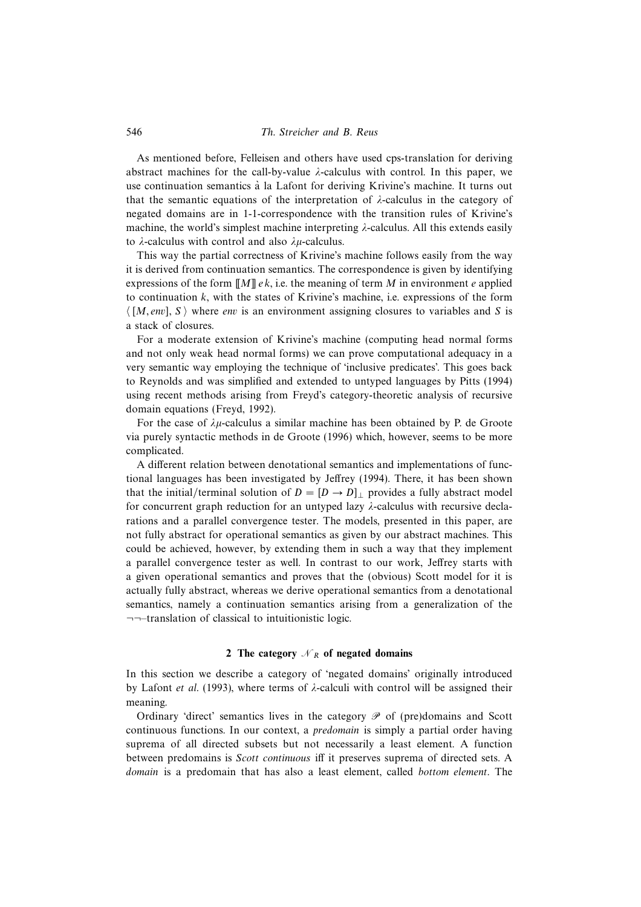As mentioned before, Felleisen and others have used cps-translation for deriving abstract machines for the call-by-value  $\lambda$ -calculus with control. In this paper, we use continuation semantics a la Lafont for deriving Krivine's machine. It turns out ` that the semantic equations of the interpretation of  $\lambda$ -calculus in the category of negated domains are in 1-1-correspondence with the transition rules of Krivine's machine, the world's simplest machine interpreting  $\lambda$ -calculus. All this extends easily to  $λ$ -calculus with control and also  $λμ$ -calculus.

This way the partial correctness of Krivine's machine follows easily from the way it is derived from continuation semantics. The correspondence is given by identifying expressions of the form  $\llbracket M \rrbracket$  e k, i.e. the meaning of term M in environment e applied to continuation k, with the states of Krivine's machine, i.e. expressions of the form  $\langle [M, env], S \rangle$  where env is an environment assigning closures to variables and S is a stack of closures.

For a moderate extension of Krivine's machine (computing head normal forms and not only weak head normal forms) we can prove computational adequacy in a very semantic way employing the technique of 'inclusive predicates'. This goes back to Reynolds and was simplified and extended to untyped languages by Pitts (1994) using recent methods arising from Freyd's category-theoretic analysis of recursive domain equations (Freyd, 1992).

For the case of  $\lambda \mu$ -calculus a similar machine has been obtained by P. de Groote via purely syntactic methods in de Groote (1996) which, however, seems to be more complicated.

A different relation between denotational semantics and implementations of functional languages has been investigated by Jeffrey (1994). There, it has been shown that the initial/terminal solution of  $D = [D \rightarrow D]$  provides a fully abstract model for concurrent graph reduction for an untyped lazy  $\lambda$ -calculus with recursive declarations and a parallel convergence tester. The models, presented in this paper, are not fully abstract for operational semantics as given by our abstract machines. This could be achieved, however, by extending them in such a way that they implement a parallel convergence tester as well. In contrast to our work, Jeffrey starts with a given operational semantics and proves that the (obvious) Scott model for it is actually fully abstract, whereas we derive operational semantics from a denotational semantics, namely a continuation semantics arising from a generalization of the ¬¬–translation of classical to intuitionistic logic.

#### 2 The category  $\mathcal{N}_R$  of negated domains

In this section we describe a category of 'negated domains' originally introduced by Lafont *et al*. (1993), where terms of λ-calculi with control will be assigned their meaning.

Ordinary 'direct' semantics lives in the category  $\mathscr P$  of (pre)domains and Scott continuous functions. In our context, a *predomain* is simply a partial order having suprema of all directed subsets but not necessarily a least element. A function between predomains is *Scott continuous* iff it preserves suprema of directed sets. A *domain* is a predomain that has also a least element, called *bottom element*. The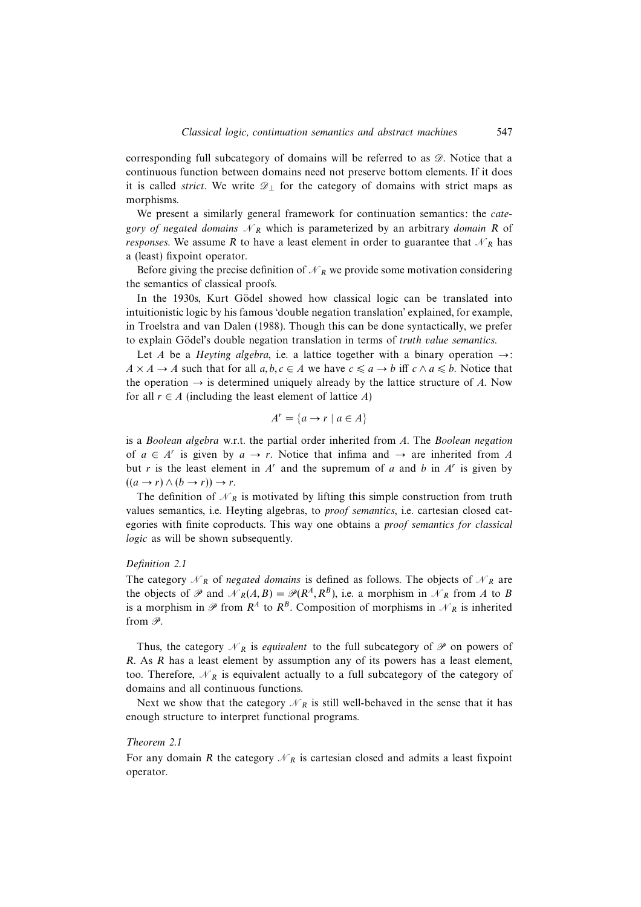corresponding full subcategory of domains will be referred to as  $\mathscr{D}$ . Notice that a continuous function between domains need not preserve bottom elements. If it does it is called *strict*. We write  $\mathscr{D}_\perp$  for the category of domains with strict maps as morphisms.

We present a similarly general framework for continuation semantics: the *category of negated domains*  $\mathcal{N}_R$  which is parameterized by an arbitrary *domain* R of *responses*. We assume R to have a least element in order to guarantee that  $\mathcal{N}_R$  has a (least) fixpoint operator.

Before giving the precise definition of  $\mathcal{N}_R$  we provide some motivation considering the semantics of classical proofs.

In the 1930s, Kurt Gödel showed how classical logic can be translated into intuitionistic logic by his famous 'double negation translation' explained, for example, in Troelstra and van Dalen (1988). Though this can be done syntactically, we prefer to explain Gödel's double negation translation in terms of *truth value semantics*.

Let A be a *Heyting algebra*, i.e. a lattice together with a binary operation  $\rightarrow$ :  $A \times A \to A$  such that for all a, b,  $c \in A$  we have  $c \le a \to b$  iff  $c \wedge a \le b$ . Notice that the operation  $\rightarrow$  is determined uniquely already by the lattice structure of A. Now for all  $r \in A$  (including the least element of lattice A)

$$
A^r = \{a \to r \mid a \in A\}
$$

is a *Boolean algebra* w.r.t. the partial order inherited from A. The *Boolean negation* of  $a \in A^r$  is given by  $a \to r$ . Notice that infima and  $\to$  are inherited from A but r is the least element in  $A^r$  and the supremum of a and b in  $A^r$  is given by  $((a \rightarrow r) \land (b \rightarrow r)) \rightarrow r$ .

The definition of  $\mathcal{N}_R$  is motivated by lifting this simple construction from truth values semantics, i.e. Heyting algebras, to *proof semantics*, i.e. cartesian closed categories with finite coproducts. This way one obtains a *proof semantics for classical logic* as will be shown subsequently.

#### *Definition 2.1*

The category  $\mathcal{N}_R$  of *negated domains* is defined as follows. The objects of  $\mathcal{N}_R$  are the objects of  $\mathscr P$  and  $\mathscr N_R(A, B) = \mathscr P(R^A, R^B)$ , i.e. a morphism in  $\mathscr N_R$  from A to B is a morphism in  $\mathscr P$  from  $R^A$  to  $R^B$ . Composition of morphisms in  $\mathscr N_R$  is inherited from  $\mathscr{P}$ .

Thus, the category  $\mathcal{N}_R$  is *equivalent* to the full subcategory of  $\mathcal P$  on powers of R. As R has a least element by assumption any of its powers has a least element, too. Therefore,  $\mathcal{N}_R$  is equivalent actually to a full subcategory of the category of domains and all continuous functions.

Next we show that the category  $\mathcal{N}_R$  is still well-behaved in the sense that it has enough structure to interpret functional programs.

#### *Theorem 2.1*

For any domain R the category  $\mathcal{N}_R$  is cartesian closed and admits a least fixpoint operator.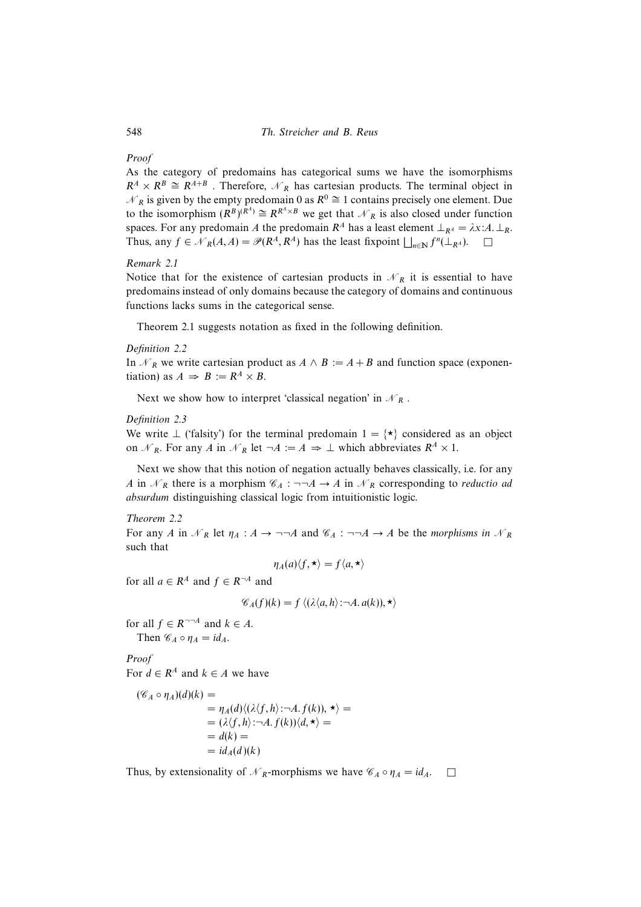548 *Th. Streicher and B. Reus*

### *Proof*

As the category of predomains has categorical sums we have the isomorphisms  $R^A \times R^B \cong R^{A+B}$ . Therefore,  $\mathcal{N}_R$  has cartesian products. The terminal object in  $\mathcal{N}_R$  is given by the empty predomain 0 as  $R^0 \cong 1$  contains precisely one element. Due to the isomorphism  $(R^B)^{(R^A)} \cong R^{R^A \times B}$  we get that  $\mathcal{N}_R$  is also closed under function spaces. For any predomain A the predomain  $R^A$  has a least element  $\perp_{R^A} = \lambda x:A \perp_R$ . Thus, any  $f \in \mathcal{N}_R(A, A) = \mathcal{P}(R^A, R^A)$  has the least fixpoint  $\bigsqcup_{n \in \mathbb{N}} f^n(\perp_{R^A})$ .  $\square$ 

#### *Remark 2.1*

Notice that for the existence of cartesian products in  $\mathcal{N}_R$  it is essential to have predomains instead of only domains because the category of domains and continuous functions lacks sums in the categorical sense.

Theorem 2.1 suggests notation as fixed in the following definition.

#### *Definition 2.2*

In  $\mathcal{N}_R$  we write cartesian product as  $A \wedge B := A + B$  and function space (exponentiation) as  $A \Rightarrow B := R^A \times B$ .

Next we show how to interpret 'classical negation' in  $\mathcal{N}_R$ .

#### *Definition 2.3*

We write  $\perp$  ('falsity') for the terminal predomain  $1 = \{ \star \}$  considered as an object on  $\mathcal{N}_R$ . For any A in  $\mathcal{N}_R$  let  $\neg A := A \Rightarrow \bot$  which abbreviates  $R^A \times 1$ .

Next we show that this notion of negation actually behaves classically, i.e. for any A in  $\mathcal{N}_R$  there is a morphism  $\mathcal{C}_A$  :  $\neg\neg A \rightarrow A$  in  $\mathcal{N}_R$  corresponding to *reductio ad absurdum* distinguishing classical logic from intuitionistic logic.

#### *Theorem 2.2*

For any A in  $\mathcal{N}_R$  let  $\eta_A : A \to \neg\neg A$  and  $\mathcal{C}_A : \neg\neg A \to A$  be the *morphisms in*  $\mathcal{N}_R$ such that

$$
\eta_A(a)\langle f, \star \rangle = f\langle a, \star \rangle
$$

for all  $a \in \mathbb{R}^A$  and  $f \in \mathbb{R}^{\neg A}$  and

$$
\mathscr{C}_A(f)(k) = f \langle (\lambda \langle a, h \rangle : \neg A. a(k)), \star \rangle
$$

for all  $f \in R^{\neg A}$  and  $k \in A$ . Then  $\mathcal{C}_A \circ \eta_A = id_A$ .

*Proof*

For  $d \in \mathbb{R}^A$  and  $k \in A$  we have

$$
(\mathscr{C}_A \circ \eta_A)(d)(k) =
$$
  
=  $\eta_A(d)\langle (\lambda \langle f, h \rangle : \neg A. f(k)), \star \rangle =$   
=  $(\lambda \langle f, h \rangle : \neg A. f(k)) \langle d, \star \rangle =$   
=  $d(k) =$   
=  $id_A(d)(k)$ 

Thus, by extensionality of  $\mathcal{N}_R$ -morphisms we have  $\mathcal{C}_A \circ \eta_A = id_A$ .  $\square$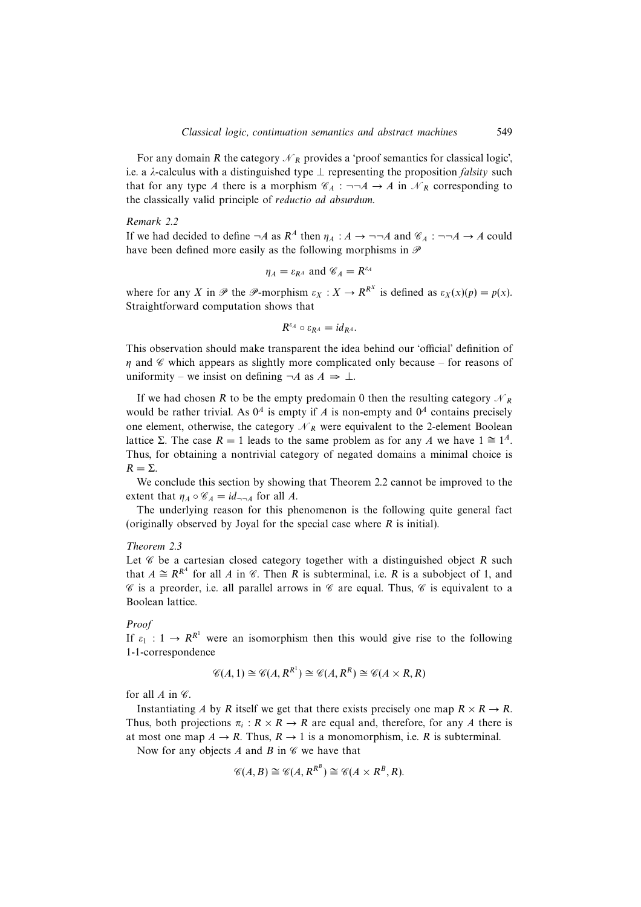For any domain R the category  $\mathcal{N}_R$  provides a 'proof semantics for classical logic', i.e. a λ-calculus with a distinguished type ⊥ representing the proposition *falsity* such that for any type A there is a morphism  $\mathcal{C}_A$  :  $\neg\neg A \rightarrow A$  in  $\mathcal{N}_R$  corresponding to the classically valid principle of *reductio ad absurdum*.

#### *Remark 2.2*

If we had decided to define  $\neg A$  as  $R^A$  then  $\eta_A : A \to \neg \neg A$  and  $\mathcal{C}_A : \neg \neg A \to A$  could have been defined more easily as the following morphisms in  $\mathscr P$ 

$$
\eta_A = \varepsilon_{R^A} \text{ and } \mathscr{C}_A = R^{\varepsilon_A}
$$

where for any X in  $\mathscr P$  the  $\mathscr P$ -morphism  $\varepsilon_X : X \to \mathbb R^{\mathbb R^X}$  is defined as  $\varepsilon_X(x)(p) = p(x)$ . Straightforward computation shows that

$$
R^{\varepsilon_A}\circ \varepsilon_{R^A}=id_{R^A}.
$$

This observation should make transparent the idea behind our 'official' definition of  $\eta$  and  $\mathscr C$  which appears as slightly more complicated only because – for reasons of uniformity – we insist on defining  $\neg A$  as  $A \Rightarrow \bot$ .

If we had chosen R to be the empty predomain 0 then the resulting category  $\mathcal{N}_R$ would be rather trivial. As  $0^4$  is empty if A is non-empty and  $0^4$  contains precisely one element, otherwise, the category  $\mathcal{N}_R$  were equivalent to the 2-element Boolean lattice Σ. The case  $R = 1$  leads to the same problem as for any A we have  $1 \cong 1^A$ . Thus, for obtaining a nontrivial category of negated domains a minimal choice is  $R = \Sigma$ .

We conclude this section by showing that Theorem 2.2 cannot be improved to the extent that  $\eta_A \circ \mathscr{C}_A = id_{\neg \neg A}$  for all A.

The underlying reason for this phenomenon is the following quite general fact (originally observed by Joyal for the special case where  $R$  is initial).

#### *Theorem 2.3*

Let  $\mathscr C$  be a cartesian closed category together with a distinguished object  $R$  such that  $A \cong R^{R^4}$  for all A in  $\mathcal C$ . Then R is subterminal, i.e. R is a subobject of 1, and  $\mathscr C$  is a preorder, i.e. all parallel arrows in  $\mathscr C$  are equal. Thus,  $\mathscr C$  is equivalent to a Boolean lattice.

#### *Proof*

If  $\varepsilon_1$  :  $1 \rightarrow R^{R^1}$  were an isomorphism then this would give rise to the following 1-1-correspondence

$$
\mathcal{C}(A,1) \cong \mathcal{C}(A,R^{R^1}) \cong \mathcal{C}(A,R^R) \cong \mathcal{C}(A \times R,R)
$$

for all  $A$  in  $\mathscr C$ .

Instantiating A by R itself we get that there exists precisely one map  $R \times R \rightarrow R$ . Thus, both projections  $\pi_i : R \times R \to R$  are equal and, therefore, for any A there is at most one map  $A \to R$ . Thus,  $R \to 1$  is a monomorphism, i.e. R is subterminal.

Now for any objects  $A$  and  $B$  in  $\mathscr C$  we have that

$$
\mathscr{C}(A,B) \cong \mathscr{C}(A,R^{R^B}) \cong \mathscr{C}(A \times R^B,R).
$$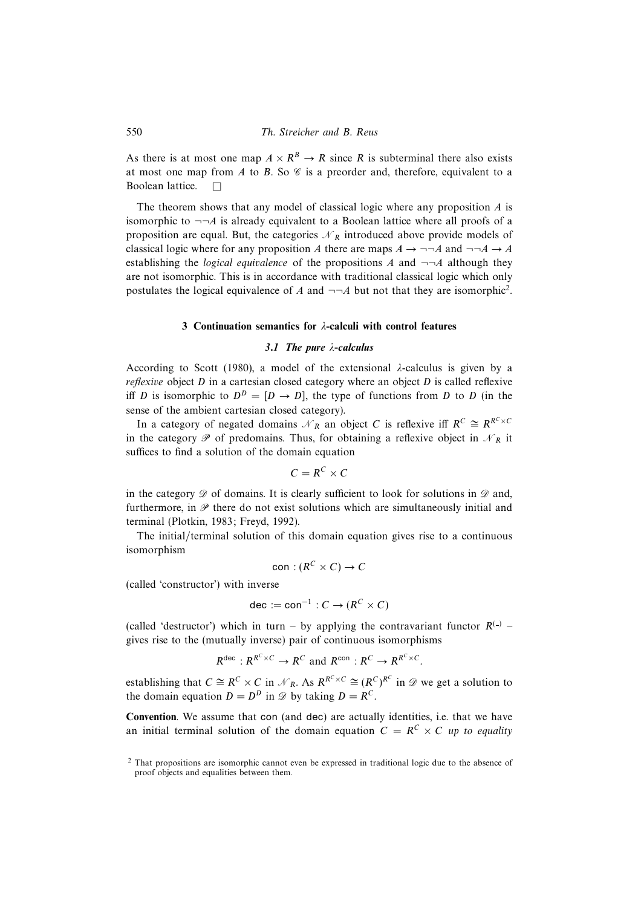#### 550 *Th. Streicher and B. Reus*

As there is at most one map  $A \times R^B \to R$  since R is subterminal there also exists at most one map from A to B. So  $\mathscr C$  is a preorder and, therefore, equivalent to a Boolean lattice.  $\Box$ 

The theorem shows that any model of classical logic where any proposition A is isomorphic to  $\neg\neg A$  is already equivalent to a Boolean lattice where all proofs of a proposition are equal. But, the categories  $\mathcal{N}_R$  introduced above provide models of classical logic where for any proposition A there are maps  $A \to \neg\neg A$  and  $\neg\neg A \to A$ establishing the *logical equivalence* of the propositions A and  $\neg\neg A$  although they are not isomorphic. This is in accordance with traditional classical logic which only postulates the logical equivalence of A and  $\neg\neg A$  but not that they are isomorphic<sup>2</sup>.

#### 3 Continuation semantics for  $\lambda$ -calculi with control features

#### 3.1 The pure λ-calculus

According to Scott (1980), a model of the extensional  $\lambda$ -calculus is given by a *reflexive* object *D* in a cartesian closed category where an object *D* is called reflexive iff D is isomorphic to  $D^D = [D \rightarrow D]$ , the type of functions from D to D (in the sense of the ambient cartesian closed category).

In a category of negated domains  $\mathcal{N}_R$  an object C is reflexive iff  $R^C \cong R^{R^C \times C}$ in the category  $\mathscr P$  of predomains. Thus, for obtaining a reflexive object in  $\mathscr N_R$  it suffices to find a solution of the domain equation

$$
C = R^C \times C
$$

in the category  $\mathscr D$  of domains. It is clearly sufficient to look for solutions in  $\mathscr D$  and, furthermore, in  $\mathscr P$  there do not exist solutions which are simultaneously initial and terminal (Plotkin, 1983; Freyd, 1992).

The initial/terminal solution of this domain equation gives rise to a continuous isomorphism

$$
\mathsf{con} : (R^C \times C) \to C
$$

(called 'constructor') with inverse

$$
\mathsf{dec} := \mathsf{con}^{-1} : C \to (R^C \times C)
$$

(called 'destructor') which in turn – by applying the contravariant functor  $R^{(-)}$  – gives rise to the (mutually inverse) pair of continuous isomorphisms

$$
R^{\text{dec}}: R^{R^C \times C} \to R^C
$$
 and  $R^{\text{con}}: R^C \to R^{R^C \times C}$ .

establishing that  $C \cong R^C \times C$  in  $\mathcal{N}_R$ . As  $R^{R^C \times C} \cong (R^C)^{R^C}$  in  $\mathcal{D}$  we get a solution to the domain equation  $D = D^D$  in  $\mathscr{D}$  by taking  $D = R^C$ .

Convention. We assume that con (and dec) are actually identities, i.e. that we have an initial terminal solution of the domain equation  $C = R^C \times C$  *up to equality* 

<sup>&</sup>lt;sup>2</sup> That propositions are isomorphic cannot even be expressed in traditional logic due to the absence of proof objects and equalities between them.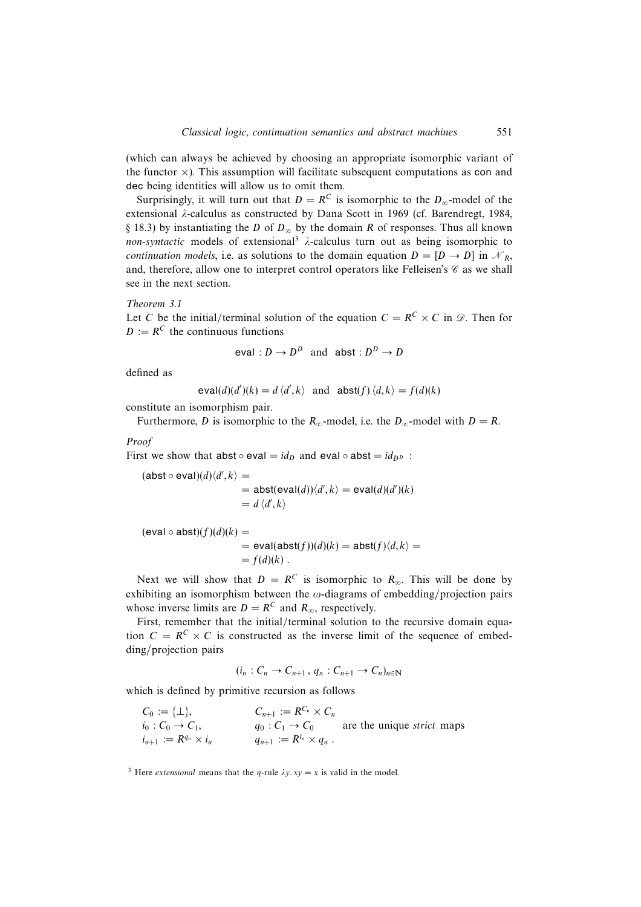(which can always be achieved by choosing an appropriate isomorphic variant of the functor  $\times$ ). This assumption will facilitate subsequent computations as con and dec being identities will allow us to omit them.

Surprisingly, it will turn out that  $D = R^C$  is isomorphic to the  $D_{\infty}$ -model of the extensional λ-calculus as constructed by Dana Scott in 1969 (cf. Barendregt, 1984, § 18.3) by instantiating the D of  $D_{\infty}$  by the domain R of responses. Thus all known *non-syntactic* models of extensional<sup>3</sup> λ-calculus turn out as being isomorphic to *continuation models, i.e.* as solutions to the domain equation  $D = [D \rightarrow D]$  in  $\mathcal{N}_R$ , and, therefore, allow one to interpret control operators like Felleisen's  $\mathscr C$  as we shall see in the next section.

*Theorem 3.1*

Let C be the initial/terminal solution of the equation  $C = R^C \times C$  in  $\mathscr{D}$ . Then for  $D := R^C$  the continuous functions

eval: 
$$
D \to D^D
$$
 and  $abst : D^D \to D$ 

defined as

$$
\mathsf{eval}(d)(d')(k) = d\langle d', k \rangle \quad \text{and} \quad \mathsf{abst}(f)\langle d, k \rangle = f(d)(k)
$$

constitute an isomorphism pair.

Furthermore, D is isomorphic to the  $R_{\infty}$ -model, i.e. the  $D_{\infty}$ -model with  $D = R$ .

#### *Proof*

First we show that abst  $\circ$  eval = *id*<sub>*D*</sub> and eval  $\circ$  abst = *id*<sub>*D*<sup>*D*</sup> :</sub>

 $(\textsf{abst} \circ \textsf{eval})(d) \langle d', k \rangle =$  $=$  abst $(\textsf{eval}(d))\langle d',k\rangle = \textsf{eval}(d)(d')(k)$  $= d \langle d', k \rangle$ 

$$
(\text{eval} \circ \text{abst})(f)(d)(k) =
$$
  
= eval(abst(f))(d)(k) = abst(f)(d,k) =  
= f(d)(k).

Next we will show that  $D = R^C$  is isomorphic to  $R_{\infty}$ . This will be done by exhibiting an isomorphism between the  $\omega$ -diagrams of embedding/projection pairs whose inverse limits are  $D = R^C$  and  $R_{\infty}$ , respectively.

First, remember that the initial/terminal solution to the recursive domain equation  $C = R^C \times C$  is constructed as the inverse limit of the sequence of embedding/projection pairs

$$
(i_n: C_n \to C_{n+1}, q_n: C_{n+1} \to C_n)_{n \in \mathbb{N}}
$$

which is defined by primitive recursion as follows

| $C_0 := {\{\perp\}},$           | $C_{n+1} := R^{C_n} \times C_n$   |                                   |
|---------------------------------|-----------------------------------|-----------------------------------|
| $i_0: C_0 \rightarrow C_1$      | $q_0: C_1 \rightarrow C_0$        | are the unique <i>strict</i> maps |
| $i_{n+1} := R^{q_n} \times i_n$ | $q_{n+1} := R^{l_n} \times q_n$ . |                                   |

<sup>3</sup> Here *extensional* means that the *η*-rule  $\lambda y. xy = x$  is valid in the model.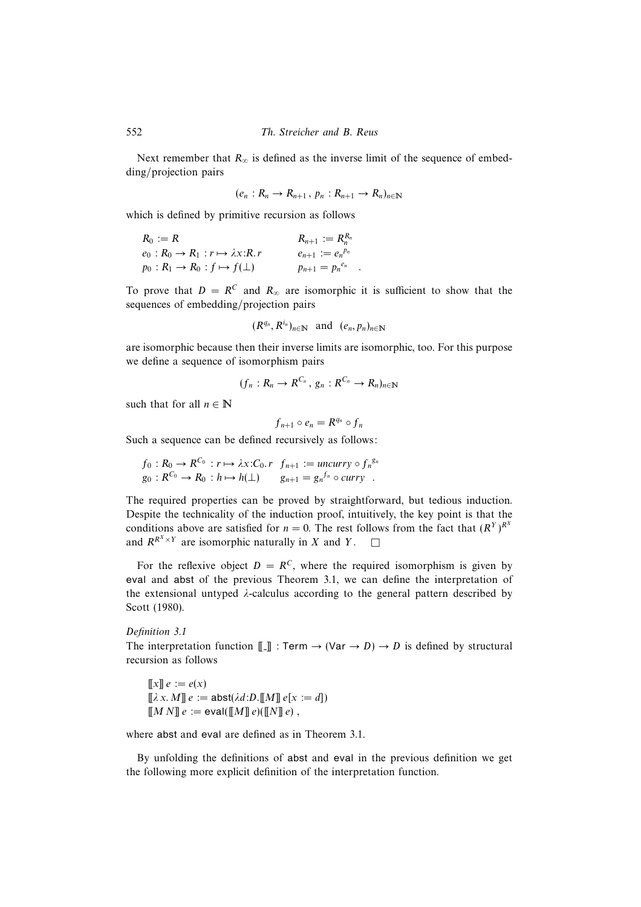Next remember that  $R_{\infty}$  is defined as the inverse limit of the sequence of embedding/projection pairs

$$
(e_n: R_n \to R_{n+1}, p_n: R_{n+1} \to R_n)_{n \in \mathbb{N}}
$$

which is defined by primitive recursion as follows

$$
R_0 := R
$$
  
\n
$$
e_0 : R_0 \to R_1 : r \mapsto \lambda x : R \cdot r
$$
  
\n
$$
p_0 : R_1 \to R_0 : f \mapsto f(\perp)
$$
  
\n
$$
p_{n+1} := p_n^{R_n}
$$
  
\n
$$
p_{n+1} = p_n^{e_n}
$$

To prove that  $D = R^C$  and  $R_{\infty}$  are isomorphic it is sufficient to show that the sequences of embedding/projection pairs

.

$$
(R^{q_n}, R^{i_n})_{n \in \mathbb{N}}
$$
 and  $(e_n, p_n)_{n \in \mathbb{N}}$ 

are isomorphic because then their inverse limits are isomorphic, too. For this purpose we define a sequence of isomorphism pairs

$$
(f_n:R_n\to R^{C_n}, g_n:R^{C_n}\to R_n)_{n\in\mathbb{N}}
$$

such that for all  $n \in \mathbb{N}$ 

$$
f_{n+1}\circ e_n=R^{q_n}\circ f_n
$$

Such a sequence can be defined recursively as follows:

 $f_0: R_0 \to R^{C_0}: r \mapsto \lambda x:C_0.r \ \ f_{n+1} := \text{uncurry} \circ f_n^{g_n}$  $g_0: R^{C_0} \to R_0: h \mapsto h(\perp)$   $g_{n+1} = g_n^{f_n} \circ \text{curr} y$ .

The required properties can be proved by straightforward, but tedious induction. Despite the technicality of the induction proof, intuitively, the key point is that the conditions above are satisfied for  $n = 0$ . The rest follows from the fact that  $(R^Y)^{R^X}$ and  $R^{R^X \times Y}$  are isomorphic naturally in X and Y.  $\square$ 

For the reflexive object  $D = R^C$ , where the required isomorphism is given by eval and abst of the previous Theorem 3.1, we can define the interpretation of the extensional untyped  $\lambda$ -calculus according to the general pattern described by Scott (1980).

#### *Definition 3.1*

The interpretation function  $\llbracket \cdot \rrbracket$  : Term  $\rightarrow$  (Var  $\rightarrow$  D)  $\rightarrow$  D is defined by structural recursion as follows

 $\llbracket x \rrbracket e := e(x)$  $[\![\lambda x. M]\!]$   $e := \text{abst}(\lambda d \, D. [\![M]\!]$   $e[x := d])$  $\llbracket M N \rrbracket e := \text{eval}(\llbracket M \rrbracket e)(\llbracket N \rrbracket e)$ ,

where abst and eval are defined as in Theorem 3.1.

By unfolding the definitions of abst and eval in the previous definition we get the following more explicit definition of the interpretation function.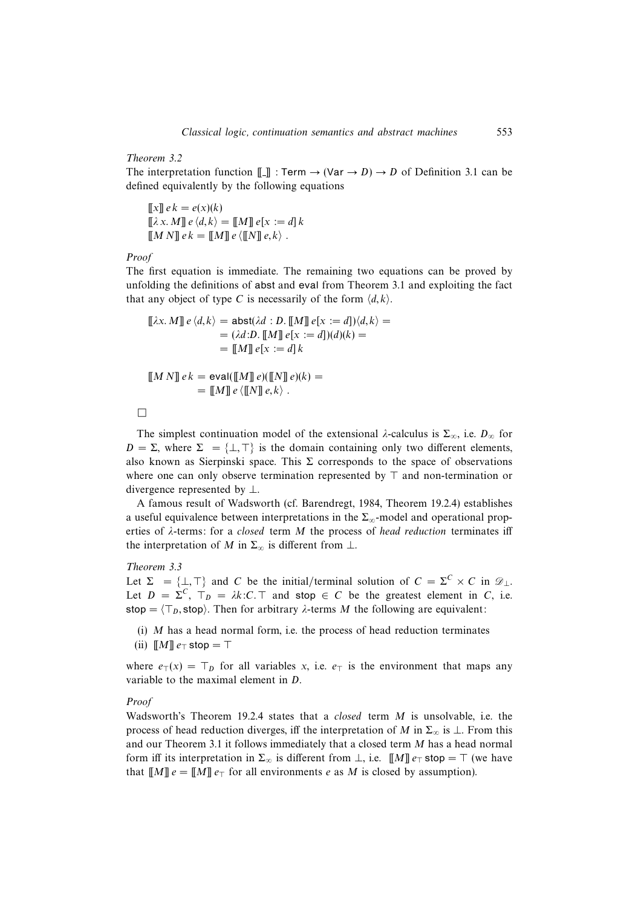*Theorem 3.2*

The interpretation function  $\llbracket \cdot \rrbracket$  : Term  $\rightarrow$  (Var  $\rightarrow$  D)  $\rightarrow$  D of Definition 3.1 can be defined equivalently by the following equations

 $\llbracket x \rrbracket e k = e(x)(k)$  $[\![\lambda x. M]\!]$   $e \langle d, k \rangle = [\![M]\!]$   $e[x := d]$  k  $\llbracket M \, N \rrbracket \, e \, k = \llbracket M \rrbracket \, e \, \langle \llbracket N \rrbracket \, e, k \rangle$ .

*Proof*

The first equation is immediate. The remaining two equations can be proved by unfolding the definitions of abst and eval from Theorem 3.1 and exploiting the fact that any object of type C is necessarily of the form  $\langle d, k \rangle$ .

$$
[\![\lambda x. M]\!] e \langle d, k \rangle = \text{abst}(\lambda d : D. [\![M]\!] e[x := d]) \langle d, k \rangle =
$$
  
\n
$$
= (\lambda d : D. [\![M]\!] e[x := d])(d)(k) =
$$
  
\n
$$
= [\![M]\!] e[x := d]k
$$
  
\n
$$
[\![M \, N]\!] e k = \text{eval}([\![M]\!] e)([\![N]\!] e)(k) =
$$

$$
= \llbracket M \rrbracket e \langle \llbracket N \rrbracket e, k \rangle .
$$

 $\Box$ 

The simplest continuation model of the extensional  $\lambda$ -calculus is  $\Sigma_{\infty}$ , i.e.  $D_{\infty}$  for  $D = \Sigma$ , where  $\Sigma = {\{\perp, \top\}}$  is the domain containing only two different elements, also known as Sierpinski space. This  $\Sigma$  corresponds to the space of observations where one can only observe termination represented by ⊤ and non-termination or divergence represented by ⊥.

A famous result of Wadsworth (cf. Barendregt, 1984, Theorem 19.2.4) establishes a useful equivalence between interpretations in the  $\Sigma_{\infty}$ -model and operational properties of λ-terms: for a *closed* term M the process of *head reduction* terminates iff the interpretation of M in  $\Sigma_{\infty}$  is different from  $\bot$ .

#### *Theorem 3.3*

Let  $\Sigma = {\perp, \top}$  and C be the initial/terminal solution of  $C = \Sigma^C \times C$  in  $\mathcal{D}_\perp$ . Let  $D = \Sigma^C$ ,  $\top_D = \lambda k : C$ . T and stop  $\in C$  be the greatest element in C, i.e. stop =  $\langle \top_D, \text{stop} \rangle$ . Then for arbitrary  $\lambda$ -terms M the following are equivalent:

(i) M has a head normal form, i.e. the process of head reduction terminates

(ii)  $\llbracket M \rrbracket e_\top$  stop = ⊤

where  $e_{\top}(x) = \top_D$  for all variables x, i.e.  $e_{\top}$  is the environment that maps any variable to the maximal element in D.

#### *Proof*

Wadsworth's Theorem 19.2.4 states that a *closed* term M is unsolvable, i.e. the process of head reduction diverges, iff the interpretation of M in  $\Sigma_{\infty}$  is  $\bot$ . From this and our Theorem 3.1 it follows immediately that a closed term M has a head normal form iff its interpretation in  $\Sigma_{\infty}$  is different from  $\bot$ , i.e.  $[[M]] e_{\top}$  stop =  $\top$  (we have that  $[M]$   $e = [M]$   $e_T$  for all environments *e* as *M* is closed by assumption).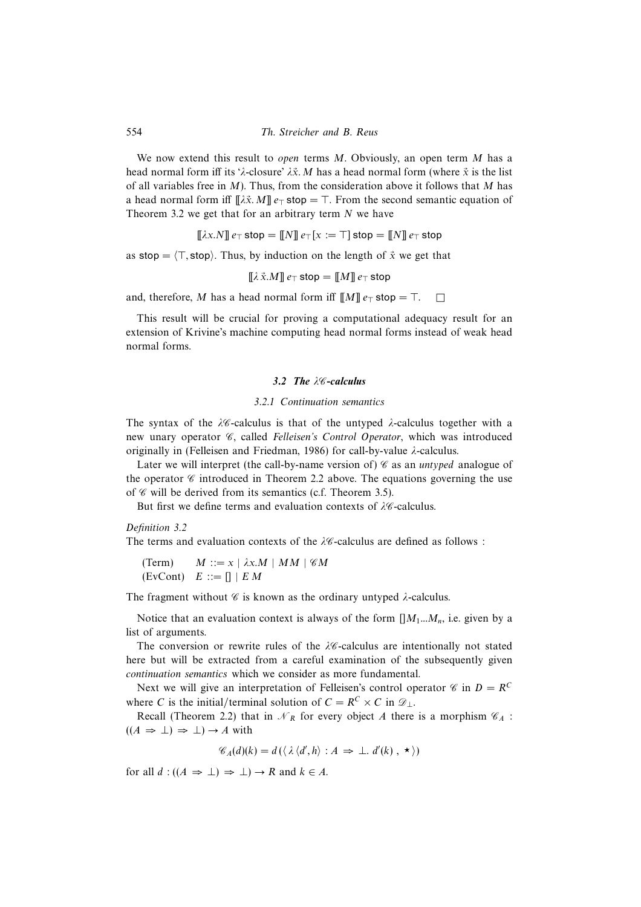We now extend this result to *open* terms M. Obviously, an open term M has a head normal form iff its ' $\lambda$ -closure'  $\lambda \vec{x}$ . M has a head normal form (where  $\vec{x}$  is the list of all variables free in  $M$ ). Thus, from the consideration above it follows that M has a head normal form iff  $\llbracket \lambda \vec{x} \cdot M \rrbracket e_{\top}$  stop = ⊤. From the second semantic equation of Theorem 3.2 we get that for an arbitrary term  $N$  we have

$$
\llbracket \lambda x.N \rrbracket \, e_\top \, \text{stop} = \llbracket N \rrbracket \, e_\top \llbracket x := \top \rrbracket \, \text{stop} = \llbracket N \rrbracket \, e_\top \, \text{stop}
$$

as stop =  $\langle \top, \text{stop} \rangle$ . Thus, by induction on the length of  $\vec{x}$  we get that

$$
\llbracket \lambda \vec{x}.M \rrbracket \, e_\top \, \text{stop} = \llbracket M \rrbracket \, e_\top \, \text{stop}
$$

and, therefore, M has a head normal form iff  $\llbracket M \rrbracket e_\top$  stop =  $\top$ .  $\Box$ 

This result will be crucial for proving a computational adequacy result for an extension of Krivine's machine computing head normal forms instead of weak head normal forms.

#### 3.2 The  $\lambda$ %-calculus

#### *3.2.1 Continuation semantics*

The syntax of the  $\lambda \mathscr{C}$ -calculus is that of the untyped  $\lambda$ -calculus together with a new unary operator *C*, called *Felleisen's Control Operator*, which was introduced originally in (Felleisen and Friedman, 1986) for call-by-value λ-calculus.

Later we will interpret (the call-by-name version of)  $\mathscr C$  as an *untyped* analogue of the operator  $\mathscr C$  introduced in Theorem 2.2 above. The equations governing the use of  $\mathscr C$  will be derived from its semantics (c.f. Theorem 3.5).

But first we define terms and evaluation contexts of  $\lambda\mathscr{C}$ -calculus.

#### *Definition 3.2*

The terms and evaluation contexts of the  $\lambda\mathscr{C}\text{-}calculus$  are defined as follows :

$$
\begin{array}{ll}\n\text{(Term)} & M ::= x \mid \lambda x.M \mid MM \mid \mathscr{C}M \\
\text{(EvCont)} & E ::= [] \mid E.M\n\end{array}
$$

The fragment without  $\mathscr C$  is known as the ordinary untyped  $\lambda$ -calculus.

Notice that an evaluation context is always of the form  $[M_1...M_n]$ , i.e. given by a list of arguments.

The conversion or rewrite rules of the  $\lambda\mathscr{C}$ -calculus are intentionally not stated here but will be extracted from a careful examination of the subsequently given *continuation semantics* which we consider as more fundamental.

Next we will give an interpretation of Felleisen's control operator  $\mathscr C$  in  $D = R^C$ where C is the initial/terminal solution of  $C = R^C \times C$  in  $\mathcal{D}_\perp$ .

Recall (Theorem 2.2) that in  $\mathcal{N}_R$  for every object A there is a morphism  $\mathcal{C}_A$ :  $((A \Rightarrow \bot) \Rightarrow \bot) \rightarrow A$  with

$$
\mathscr{C}_A(d)(k) = d\left(\langle \lambda \langle d', h \rangle : A \implies \bot, d'(k), \star \rangle\right)
$$

for all  $d : ((A \Rightarrow \bot) \Rightarrow \bot) \rightarrow R$  and  $k \in A$ .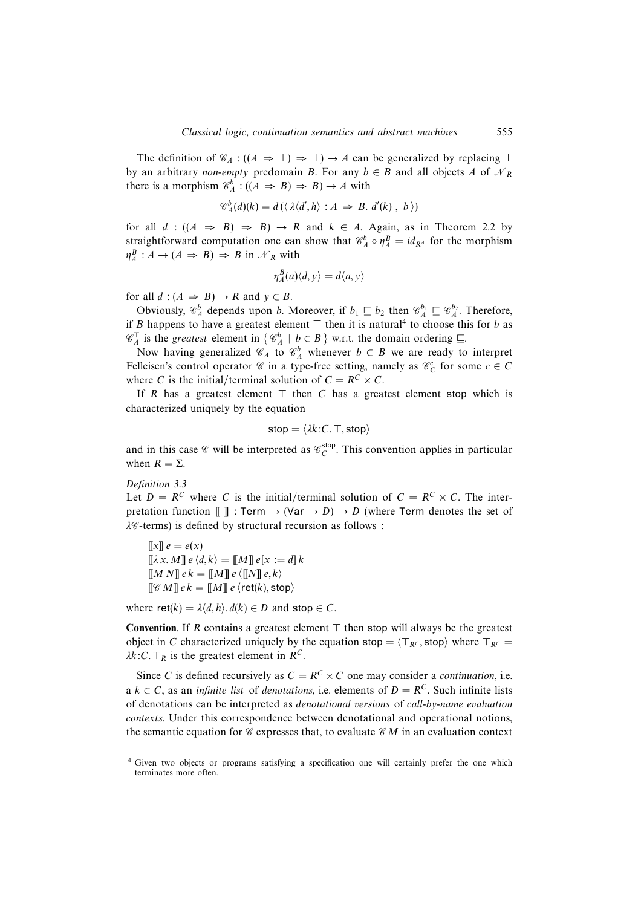The definition of  $\mathcal{C}_A$  :  $((A \Rightarrow \bot) \Rightarrow \bot) \rightarrow A$  can be generalized by replacing  $\bot$ by an arbitrary *non-empty* predomain B. For any  $b \in B$  and all objects A of  $\mathcal{N}_R$ there is a morphism  $\mathcal{C}_A^b$ :  $((A \Rightarrow B) \Rightarrow B) \rightarrow A$  with

$$
\mathscr{C}_A^b(d)(k) = d\left(\langle \lambda \langle d', h \rangle : A \implies B. d'(k), b \rangle\right)
$$

for all  $d : ((A \Rightarrow B) \Rightarrow B) \rightarrow R$  and  $k \in A$ . Again, as in Theorem 2.2 by straightforward computation one can show that  $\mathcal{C}_A^b \circ \eta_A^B = id_{R^A}$  for the morphism  $\eta_A^B : A \to (A \Rightarrow B) \Rightarrow B$  in  $\mathcal{N}_R$  with

$$
\eta_A^B(a)\langle d, y \rangle = d\langle a, y \rangle
$$

for all  $d : (A \Rightarrow B) \rightarrow R$  and  $y \in B$ .

Obviously,  $\mathcal{C}_A^b$  depends upon *b*. Moreover, if  $b_1 \sqsubseteq b_2$  then  $\mathcal{C}_A^{b_1} \sqsubseteq \mathcal{C}_A^{b_2}$ . Therefore, if B happens to have a greatest element  $\top$  then it is natural<sup>4</sup> to choose this for b as  $\mathscr{C}_A^{\top}$  is the *greatest* element in { $\mathscr{C}_A^b$  |  $b \in B$ } w.r.t. the domain ordering  $\sqsubseteq$ .

Now having generalized  $\mathscr{C}_A$  to  $\mathscr{C}_A^b$  whenever  $b \in B$  we are ready to interpret Felleisen's control operator  $\mathscr C$  in a type-free setting, namely as  $\mathscr C_C$  for some  $c \in C$ where C is the initial/terminal solution of  $C = R^C \times C$ .

If R has a greatest element  $\top$  then C has a greatest element stop which is characterized uniquely by the equation

$$
stop = \langle \lambda k : C. \top, stop \rangle
$$

and in this case  $\mathscr C$  will be interpreted as  $\mathscr C_C^{\text{stop}}$ . This convention applies in particular when  $R = \Sigma$ .

#### *Definition 3.3*

Let  $D = R^C$  where C is the initial/terminal solution of  $C = R^C \times C$ . The interpretation function  $\llbracket \cdot \rrbracket$  : Term  $\rightarrow$  (Var  $\rightarrow$  D)  $\rightarrow$  D (where Term denotes the set of  $\lambda$ %-terms) is defined by structural recursion as follows :

 $\llbracket x \rrbracket$   $e = e(x)$  $[\![\lambda x. M]\!]$  e  $\langle d, k \rangle = [\![M]\!]$  e[ $x := d$ ] k  $\llbracket M \, N \rrbracket \, e \, k = \llbracket M \rrbracket \, e \, \langle \llbracket N \rrbracket \, e, k \rangle$  $\llbracket \mathscr{C}[M] \rrbracket e k = \llbracket M \rrbracket e \langle \text{ret}(k), \text{stop} \rangle$ 

where  $\text{ret}(k) = \lambda \langle d, h \rangle$ .  $d(k) \in D$  and stop  $\in C$ .

Convention. If R contains a greatest element  $⊤$  then stop will always be the greatest object in C characterized uniquely by the equation stop =  $\langle \top_{R^C}$ , stop) where  $\top_{R^C}$  =  $\lambda k$ :C.  $\top_R$  is the greatest element in  $R^C$ .

Since C is defined recursively as  $C = R^C \times C$  one may consider a *continuation*, i.e. a  $k \in C$ , as an *infinite list* of *denotations*, i.e. elements of  $D = R^C$ . Such infinite lists of denotations can be interpreted as *denotational versions* of *call-by-name evaluation contexts*. Under this correspondence between denotational and operational notions, the semantic equation for  $\mathscr C$  expresses that, to evaluate  $\mathscr C$  M in an evaluation context

<sup>4</sup> Given two objects or programs satisfying a specification one will certainly prefer the one which terminates more often.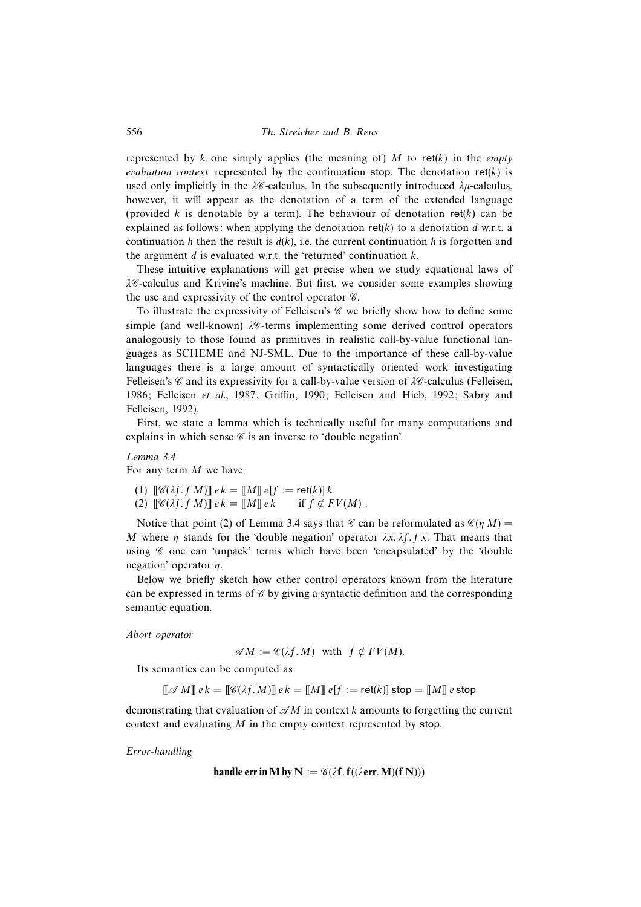represented by  $k$  one simply applies (the meaning of)  $M$  to ret( $k$ ) in the *empty evaluation context* represented by the continuation stop. The denotation  $\text{ret}(k)$  is used only implicitly in the  $\lambda\mathscr{C}$ -calculus. In the subsequently introduced  $\lambda\mu$ -calculus, however, it will appear as the denotation of a term of the extended language (provided k is denotable by a term). The behaviour of denotation ret(k) can be explained as follows: when applying the denotation ret(k) to a denotation  $d$  w.r.t. a continuation h then the result is  $d(k)$ , i.e. the current continuation h is forgotten and the argument  $d$  is evaluated w.r.t. the 'returned' continuation  $k$ .

These intuitive explanations will get precise when we study equational laws of  $\lambda\mathscr{C}$ -calculus and Krivine's machine. But first, we consider some examples showing the use and expressivity of the control operator  $C$ .

To illustrate the expressivity of Felleisen's  $\mathscr C$  we briefly show how to define some simple (and well-known)  $\lambda \mathscr{C}$ -terms implementing some derived control operators analogously to those found as primitives in realistic call-by-value functional languages as SCHEME and NJ-SML. Due to the importance of these call-by-value languages there is a large amount of syntactically oriented work investigating Felleisen's C and its expressivity for a call-by-value version of  $\lambda$ C-calculus (Felleisen, 1986; Felleisen *et al.*, 1987; Griffin, 1990; Felleisen and Hieb, 1992; Sabry and Felleisen, 1992).

First, we state a lemma which is technically useful for many computations and explains in which sense  $\mathscr C$  is an inverse to 'double negation'.

*Lemma 3.4* For any term  $M$  we have

(1)  $\llbracket \mathcal{C}(\lambda f. f M) \rrbracket e k = \llbracket M \rrbracket e [f := \text{ret}(k)] k$ 

(2)  $\llbracket \mathcal{C}(\lambda f. f M) \rrbracket e k = \llbracket M \rrbracket e k \quad \text{if } f \notin FV(M) .$ 

Notice that point (2) of Lemma 3.4 says that C can be reformulated as  $\mathcal{C}(n M) =$ M where  $\eta$  stands for the 'double negation' operator  $\lambda x$ .  $\lambda f$ .  $f$  x. That means that using  $C$  one can 'unpack' terms which have been 'encapsulated' by the 'double negation' operator η.

Below we briefly sketch how other control operators known from the literature can be expressed in terms of  $\mathscr C$  by giving a syntactic definition and the corresponding semantic equation.

*Abort operator*

 $\mathscr{A}M := \mathscr{C}(\lambda f.M)$  with  $f \notin FV(M)$ .

Its semantics can be computed as

 $\llbracket \mathcal{A} \, M \rrbracket \, e \, k = \llbracket \mathcal{C}(\lambda f \, M) \rrbracket \, e \, k = \llbracket M \rrbracket \, e \, [f := \text{ret}(k)]$  stop  $= \llbracket M \rrbracket \, e$  stop

demonstrating that evaluation of  $\mathscr A M$  in context k amounts to forgetting the current context and evaluating M in the empty context represented by stop.

*Error-handling*

```
handle err in M by N := \mathcal{C}(\lambda f. f((\lambda err. M)(f N)))
```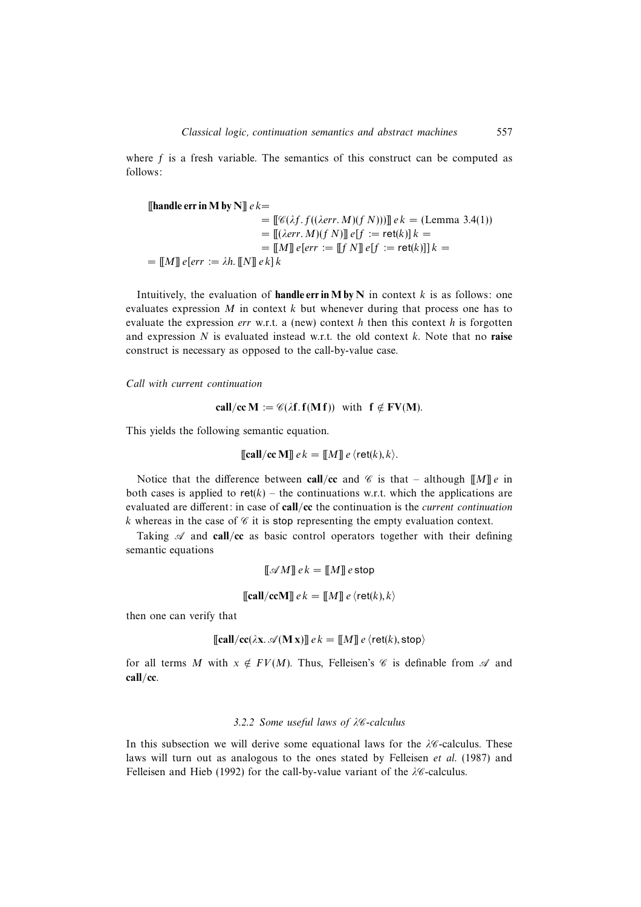where  $f$  is a fresh variable. The semantics of this construct can be computed as follows:

$$
\begin{aligned}\n\text{[handle err in M by N]} \, e \, k &= \\
&= \left[ \mathcal{C}(\lambda f. f((\lambda err. M)(f \, N))) \right] \, e \, k = \text{(Lemma 3.4(1))} \\
&= \left[ \left[ (\lambda err. M)(f \, N) \right] \right] \, e \, [f := \text{ret}(k)] \, k = \\
&= \left[ \left[ M \right] \right] \, e \, [err := \lambda h. \left[ \left[ N \right] \right] \, e \, k \right] \, k\n\end{aligned}
$$

Intuitively, the evaluation of **handle err in M by N** in context  $k$  is as follows: one evaluates expression  $M$  in context  $k$  but whenever during that process one has to evaluate the expression *err* w.r.t. a (new) context h then this context h is forgotten and expression  $N$  is evaluated instead w.r.t. the old context  $k$ . Note that no raise construct is necessary as opposed to the call-by-value case.

*Call with current continuation*

$$
call/cc M := \mathscr{C}(\lambda f. f(Mf)) \text{ with } f \notin FV(M).
$$

This yields the following semantic equation.

$$
\llbracket \textbf{call}/\textbf{cc}\,\mathbf{M} \rrbracket \, e\,k = \llbracket M \rrbracket \, e\, \langle \textbf{ret}(k), k \rangle.
$$

Notice that the difference between call/cc and  $\mathscr C$  is that – although  $\llbracket M \rrbracket e$  in both cases is applied to ret( $k$ ) – the continuations w.r.t. which the applications are evaluated are different: in case of call/cc the continuation is the *current continuation* k whereas in the case of  $\mathscr C$  it is stop representing the empty evaluation context.

Taking  $\mathscr A$  and call/cc as basic control operators together with their defining semantic equations

$$
\llbracket \mathcal{A}M \rrbracket e k = \llbracket M \rrbracket e \text{stop}
$$

$$
\llbracket \textbf{call}/\textbf{ccM} \rrbracket e k = \llbracket M \rrbracket e \langle \textbf{ret}(k), k \rangle
$$

then one can verify that

$$
\llbracket \text{call}/\text{cc}(\lambda \mathbf{x}, \mathcal{A}(\mathbf{M}\mathbf{x}) \rrbracket) \, e \, k = \llbracket M \rrbracket \, e \, \langle \text{ret}(k), \text{stop} \rangle
$$

for all terms M with  $x \notin FV(M)$ . Thus, Felleisen's  $\mathscr C$  is definable from  $\mathscr A$  and call/cc.

#### *3.2.2 Some useful laws of λC*-calculus

In this subsection we will derive some equational laws for the  $\lambda\mathscr{C}$ -calculus. These laws will turn out as analogous to the ones stated by Felleisen *et al*. (1987) and Felleisen and Hieb (1992) for the call-by-value variant of the  $\lambda$ %-calculus.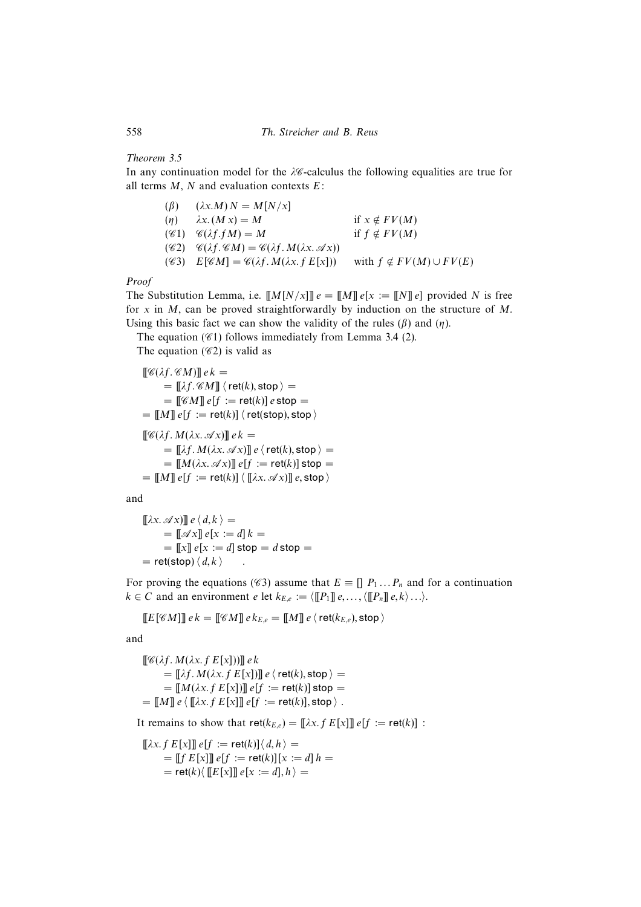#### *Theorem 3.5*

In any continuation model for the  $\lambda\mathscr{C}$ -calculus the following equalities are true for all terms  $M$ ,  $N$  and evaluation contexts  $E$ :

| $(\beta)$ | $(\lambda x.M) N = M[N/x]$                                                                                               |                                  |
|-----------|--------------------------------------------------------------------------------------------------------------------------|----------------------------------|
| (n)       | $\lambda x.(M x) = M$                                                                                                    | if $x \notin FV(M)$              |
|           | $(\mathscr{C}1) \quad \mathscr{C}(\lambda f.fM) = M$                                                                     | if $f \notin FV(M)$              |
|           | $(\mathscr{C}2) \quad \mathscr{C}(\lambda f \mathscr{L}M) = \mathscr{C}(\lambda f \mathscr{L}M(\lambda x \mathscr{L}X))$ |                                  |
|           | $(\mathscr{C}3)$ $E[\mathscr{C}M] = \mathscr{C}(\lambda f \cdot M(\lambda x, f E[x]))$                                   | with $f \notin FV(M) \cup FV(E)$ |
|           |                                                                                                                          |                                  |

*Proof*

The Substitution Lemma, i.e.  $\llbracket M[N/x] \rrbracket e = \llbracket M \rrbracket e[x := \llbracket N \rrbracket e]$  provided N is free for x in  $M$ , can be proved straightforwardly by induction on the structure of  $M$ . Using this basic fact we can show the validity of the rules  $(\beta)$  and  $(\eta)$ .

The equation  $(\mathscr{C}1)$  follows immediately from Lemma 3.4 (2).

The equation  $(\mathscr{C}2)$  is valid as

 $\llbracket \mathcal{C}(\lambda f \mathcal{C} M) \rrbracket e k =$  $\mathbb{Z} = \llbracket \lambda f \mathcal{M} \rrbracket \langle \text{ret}(k), \text{stop} \rangle = 0$  $=[\mathscr{C}M]\mathscr{E}[f]:=ret(k)]\mathscr{E}$  stop  $=$  $= \llbracket M \rrbracket e[f := \mathsf{ret}(k)] \langle \mathsf{ret}(\mathsf{stop}), \mathsf{stop} \rangle)$  $\llbracket \mathcal{C}(\lambda f \cdot M(\lambda x. \mathcal{A} x) \rrbracket e k =$  $= \llbracket \lambda f \cdot M(\lambda x. \mathcal{A} x) \rrbracket e \langle \text{ret}(k), \text{stop} \rangle =$  $=$   $[M(\lambda x. \mathcal{A}x)$ ]  $e[f] := ret(k)$ ] stop  $=$  $= \llbracket M \rrbracket e[f := \text{ret}(k)] \langle [\lbrack \lambda x. \mathcal{A} x \rbrack \rrbracket e, \text{stop} \rangle$ 

and

$$
[\![\lambda x.\mathcal{A}x]\!] \equiv \langle d, k \rangle =
$$
  
= 
$$
[\![\mathcal{A}x]\!] \equiv e[x := d]k =
$$
  
= 
$$
[\![x]\!] \equiv e[x := d] \text{ stop} = d \text{ stop} =
$$
  
= 
$$
ret(\text{stop}) \langle d, k \rangle
$$

For proving the equations (C3) assume that  $E = \prod P_1 ... P_n$  and for a continuation  $k \in C$  and an environment e let  $k_{E,e} := \langle [\![P_1]\!] \!] \, e, \ldots, \langle [\![P_n]\!] \!] \, e, k \rangle \ldots$ .

$$
\llbracket E\llbracket \mathscr{C}M \rrbracket \rrbracket \mathscr{e} \mathscr{K} = \llbracket \mathscr{C}M \rrbracket \mathscr{e} \mathscr{K}_{E,e} = \llbracket M \rrbracket \mathscr{e} \langle \text{ret}(k_{E,e}), \text{stop} \rangle
$$

and

 $[\![\mathscr{C}(\lambda f.\,M(\lambda x.\,f\,E[x]))]\!]$ ek  $\mathbb{E} = [\![\lambda f \cdot M(\lambda x. f \cdot E[x]] ]\!] \cdot e \langle \text{ret}(k), \text{stop} \rangle = 0$  $=[M(\lambda x.f E[x])] e[f := ret(k)]$  stop  $=$  $=\llbracket M \rrbracket e \langle [\![\lambda x. f\, E[x]]\!] \, e[f := \mathsf{ret}(k)], \mathsf{stop} \rangle$ .

It remains to show that  $\text{ret}(k_{E,e}) = [\![\lambda x. f\, E[x]]\!] \cdot e[f := \text{ret}(k)]$ :

$$
\llbracket \lambda x. f E[x] \rrbracket e[f := \text{ret}(k)] \langle d, h \rangle =
$$
  
= 
$$
\llbracket f E[x] \rrbracket e[f := \text{ret}(k)] [x := d] h =
$$
  
= 
$$
\text{ret}(k) \langle \llbracket E[x] \rrbracket e[x := d], h \rangle =
$$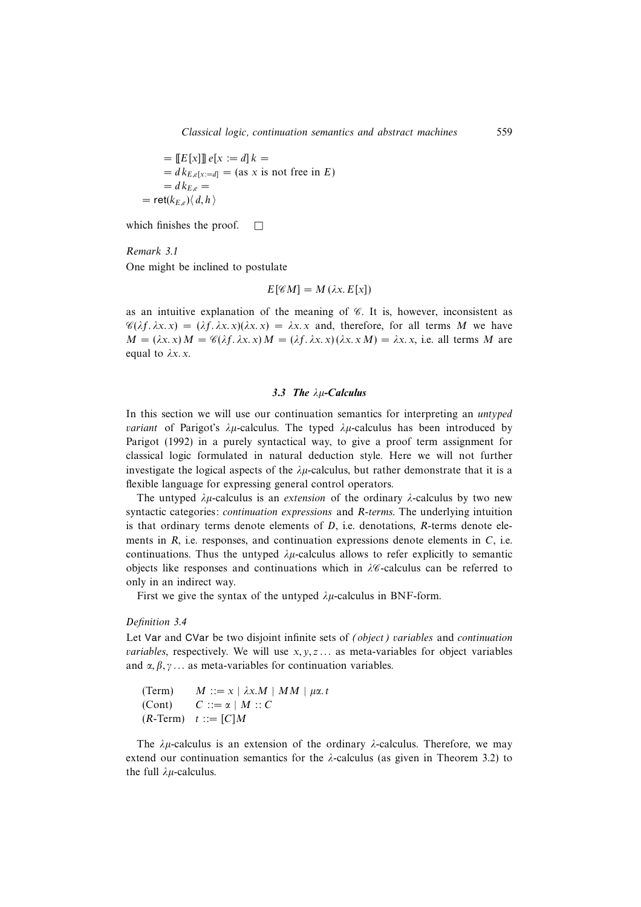$$
= [[E[x]]] e[x := d] k =
$$
  
= d k<sub>E,e[x:=d]</sub> = (as x is not free in E)  
= d k<sub>E,e</sub> =  
= ret(k<sub>E,e</sub>)/(d,h)

which finishes the proof.  $\Box$ 

*Remark 3.1* One might be inclined to postulate

$$
E[\mathscr{C}M] = M(\lambda x. E[x])
$$

as an intuitive explanation of the meaning of  $\mathscr C$ . It is, however, inconsistent as  $\mathscr{C}(\lambda f, \lambda x, x) = (\lambda f, \lambda x, x)(\lambda x, x) = \lambda x, x$  and, therefore, for all terms M we have  $M = (\lambda x. x) M = \mathcal{C}(\lambda f, \lambda x. x) M = (\lambda f, \lambda x. x) (\lambda x. x M) = \lambda x. x$ , i.e. all terms M are equal to  $\lambda x$ . x.

#### 3.3 The λµ-Calculus

In this section we will use our continuation semantics for interpreting an *untyped variant* of Parigot's  $\lambda \mu$ -calculus. The typed  $\lambda \mu$ -calculus has been introduced by Parigot (1992) in a purely syntactical way, to give a proof term assignment for classical logic formulated in natural deduction style. Here we will not further investigate the logical aspects of the  $\lambda \mu$ -calculus, but rather demonstrate that it is a flexible language for expressing general control operators.

The untyped  $\lambda \mu$ -calculus is an *extension* of the ordinary  $\lambda$ -calculus by two new syntactic categories: *continuation expressions* and R*-terms*. The underlying intuition is that ordinary terms denote elements of  $D$ , i.e. denotations,  $R$ -terms denote elements in  $R$ , i.e. responses, and continuation expressions denote elements in  $C$ , i.e. continuations. Thus the untyped  $\lambda \mu$ -calculus allows to refer explicitly to semantic objects like responses and continuations which in  $\lambda \mathscr{C}$ -calculus can be referred to only in an indirect way.

First we give the syntax of the untyped  $\lambda \mu$ -calculus in BNF-form.

#### *Definition 3.4*

Let Var and CVar be two disjoint infinite sets of *(object) variables* and *continuation variables*, respectively. We will use  $x, y, z...$  as meta-variables for object variables and  $\alpha, \beta, \gamma$ ... as meta-variables for continuation variables.

(Term)  $M ::= x \mid \lambda x.M \mid MM \mid \mu \alpha.t$  $(Cont)$   $C ::= \alpha \mid M :: C$  $(R\text{-Term}) \quad t ::= [C]M$ 

The  $\lambda \mu$ -calculus is an extension of the ordinary  $\lambda$ -calculus. Therefore, we may extend our continuation semantics for the  $\lambda$ -calculus (as given in Theorem 3.2) to the full  $\lambda \mu$ -calculus.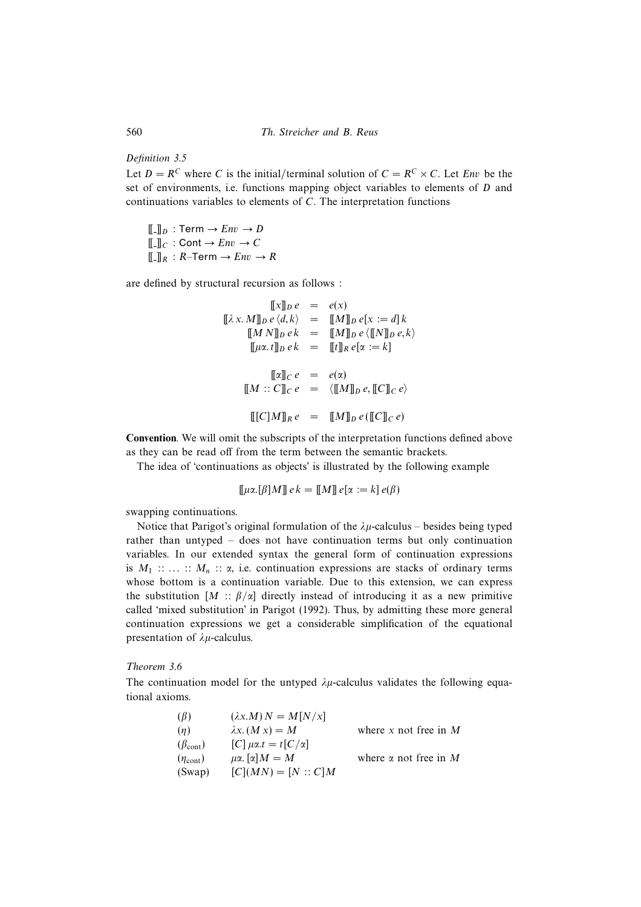560 *Th. Streicher and B. Reus*

#### *Definition 3.5*

Let  $D = R^C$  where C is the initial/terminal solution of  $C = R^C \times C$ . Let *Env* be the set of environments, i.e. functions mapping object variables to elements of D and continuations variables to elements of C. The interpretation functions

 $\llbracket \cdot \rrbracket_D$  : Term  $\rightarrow Env \rightarrow D$  $\llbracket - \rrbracket_C$  : Cont  $\rightarrow$  *Env*  $\rightarrow$  *C*  $\llbracket \cdot \rrbracket_R : R$ –Term  $\rightarrow Env \rightarrow R$ 

are defined by structural recursion as follows :

$$
\llbracket x \rrbracket_D e = e(x) \llbracket \lambda x. M \rrbracket_D e \langle d, k \rangle = \llbracket M \rrbracket_D e[x := d]k \llbracket M N \rrbracket_D e k = \llbracket M \rrbracket_D e \langle \llbracket N \rrbracket_D e, k \rangle \llbracket \mu x. t \rrbracket_D e k = \llbracket t \rrbracket_R e[x := k] \llbracket \alpha \rrbracket_C e = e(\alpha) \llbracket M \rrbracket_D e, \llbracket C \rrbracket_C e \rangle \llbracket [C]M \rrbracket_R e = \llbracket M \rrbracket_D e (\llbracket C \rrbracket_C e)
$$

Convention. We will omit the subscripts of the interpretation functions defined above as they can be read off from the term between the semantic brackets.

The idea of 'continuations as objects' is illustrated by the following example

$$
[\![\mu\alpha.[\beta]M]\!] \, e \, k = [\![M]\!] \, e[\alpha := k] \, e(\beta)
$$

swapping continuations.

Notice that Parigot's original formulation of the  $\lambda \mu$ -calculus – besides being typed rather than untyped – does not have continuation terms but only continuation variables. In our extended syntax the general form of continuation expressions is  $M_1$  :: ... ::  $M_n$  ::  $\alpha$ , i.e. continuation expressions are stacks of ordinary terms whose bottom is a continuation variable. Due to this extension, we can express the substitution  $[M : \beta/\alpha]$  directly instead of introducing it as a new primitive called 'mixed substitution' in Parigot (1992). Thus, by admitting these more general continuation expressions we get a considerable simplification of the equational presentation of  $\lambda \mu$ -calculus.

#### *Theorem 3.6*

The continuation model for the untyped  $\lambda \mu$ -calculus validates the following equational axioms.

| $(\beta)$               | $(\lambda x.M) N = M[N/x]$       |                              |
|-------------------------|----------------------------------|------------------------------|
| (n)                     | $\lambda x. (M x) = M$           | where x not free in $M$      |
| $(\beta_{\text{cont}})$ | $[C] \mu \alpha.t = t[C/\alpha]$ |                              |
| $(\eta_{\rm cont})$     | μα. [α] $M = M$                  | where $\alpha$ not free in M |
| (Swap)                  | $[C](MN) = [N :: C]M$            |                              |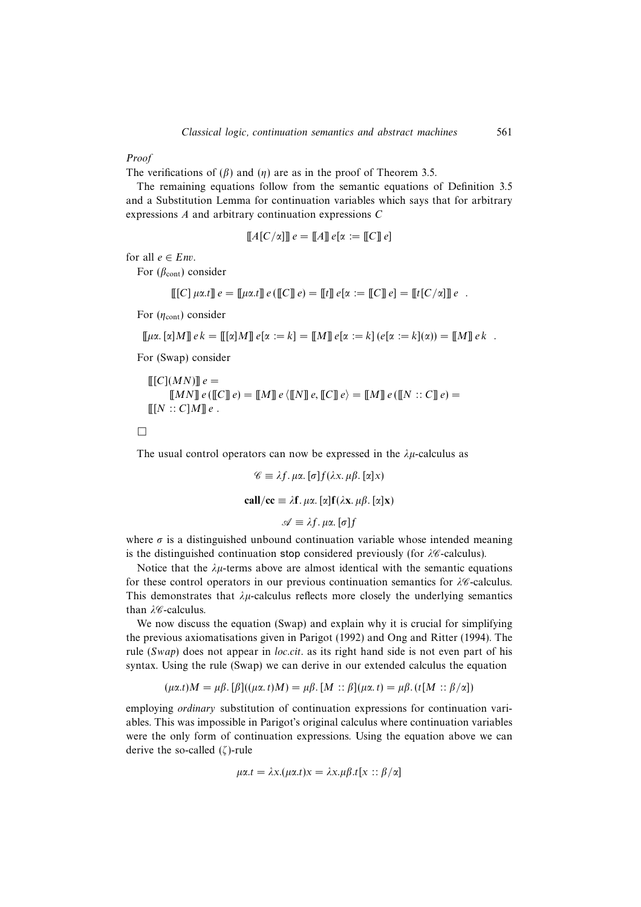#### *Proof*

The verifications of  $(\beta)$  and  $(\eta)$  are as in the proof of Theorem 3.5.

The remaining equations follow from the semantic equations of Definition 3.5 and a Substitution Lemma for continuation variables which says that for arbitrary expressions A and arbitrary continuation expressions C

$$
\llbracket A[C/\alpha] \rrbracket e = \llbracket A \rrbracket e[\alpha := \llbracket C \rrbracket e]
$$

for all  $e \in Env$ .

For  $(\beta_{\text{cont}})$  consider

$$
\llbracket [C] \mu \alpha.t \rrbracket e = \llbracket \mu \alpha.t \rrbracket e (\llbracket C \rrbracket e) = \llbracket t \rrbracket e [\alpha := \llbracket C \rrbracket e] = \llbracket t \llbracket C/\alpha \rrbracket e \, .
$$

For  $(\eta_{\text{cont}})$  consider

$$
\llbracket \mu \alpha. [\alpha] M \rrbracket e k = \llbracket [\alpha] M \rrbracket e [\alpha := k] = \llbracket M \rrbracket e [\alpha := k] (e [\alpha := k] (\alpha) ) = \llbracket M \rrbracket e k .
$$

For (Swap) consider

$$
\begin{aligned}\n\llbracket [C](MN) \rrbracket e &= \\
\llbracket MN \rrbracket e (\llbracket C \rrbracket e) &= \llbracket M \rrbracket e (\llbracket N \rrbracket e, \llbracket C \rrbracket e \rangle = \llbracket M \rrbracket e (\llbracket N :: C \rrbracket e) = \\
\llbracket [N :: C]M \rrbracket e.\n\end{aligned}
$$

 $\Box$ 

The usual control operators can now be expressed in the  $\lambda \mu$ -calculus as

$$
\mathscr{C} \equiv \lambda f. \mu \alpha. [\sigma] f(\lambda x. \mu \beta. [\alpha] x)
$$
  
call/cc  $\equiv \lambda f. \mu \alpha. [\alpha] f(\lambda x. \mu \beta. [\alpha] x)$   

$$
\mathscr{A} \equiv \lambda f. \mu \alpha. [\sigma] f
$$

where  $\sigma$  is a distinguished unbound continuation variable whose intended meaning is the distinguished continuation stop considered previously (for  $\lambda \mathscr{C}$ -calculus).

Notice that the  $\lambda \mu$ -terms above are almost identical with the semantic equations for these control operators in our previous continuation semantics for  $\lambda\mathscr{C}$ -calculus. This demonstrates that  $\lambda \mu$ -calculus reflects more closely the underlying semantics than  $\lambda$ %-calculus.

We now discuss the equation (Swap) and explain why it is crucial for simplifying the previous axiomatisations given in Parigot (1992) and Ong and Ritter (1994). The rule (Swap) does not appear in *loc.cit.* as its right hand side is not even part of his syntax. Using the rule (Swap) we can derive in our extended calculus the equation

$$
(\mu\alpha.t)M = \mu\beta.\left[\beta\right]((\mu\alpha.t)M) = \mu\beta.\left[M :: \beta\right](\mu\alpha.t) = \mu\beta.\left(t[M :: \beta/\alpha\right])
$$

employing *ordinary* substitution of continuation expressions for continuation variables. This was impossible in Parigot's original calculus where continuation variables were the only form of continuation expressions. Using the equation above we can derive the so-called  $(\zeta)$ -rule

$$
\mu\alpha.t = \lambda x.(\mu\alpha.t)x = \lambda x.\mu\beta.t[x :: \beta/\alpha]
$$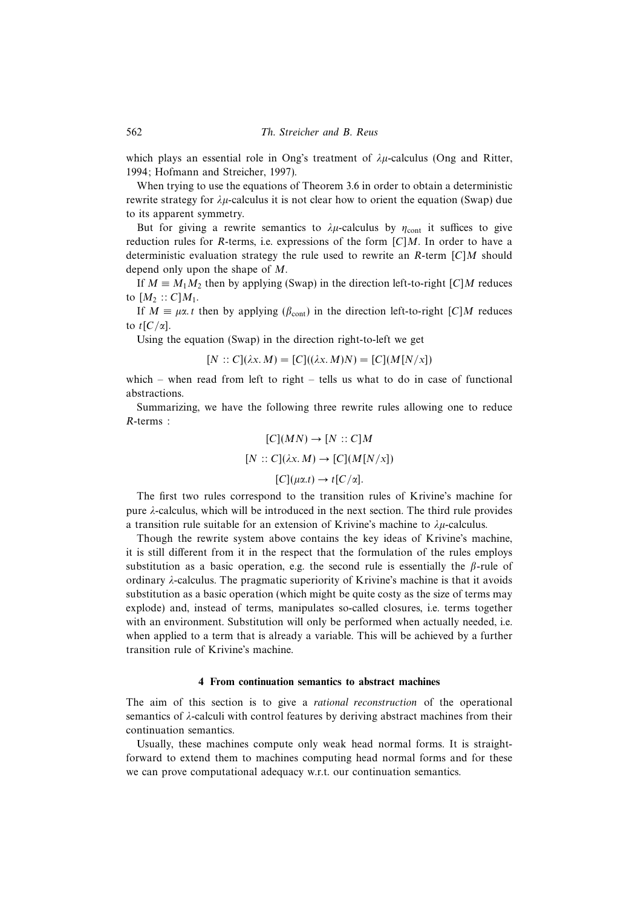which plays an essential role in Ong's treatment of  $\lambda \mu$ -calculus (Ong and Ritter, 1994; Hofmann and Streicher, 1997).

When trying to use the equations of Theorem 3.6 in order to obtain a deterministic rewrite strategy for  $\lambda \mu$ -calculus it is not clear how to orient the equation (Swap) due to its apparent symmetry.

But for giving a rewrite semantics to  $\lambda \mu$ -calculus by  $\eta_{\text{cont}}$  it suffices to give reduction rules for R-terms, i.e. expressions of the form  $[C]M$ . In order to have a deterministic evaluation strategy the rule used to rewrite an R-term  $[C]M$  should depend only upon the shape of M.

If  $M \equiv M_1M_2$  then by applying (Swap) in the direction left-to-right [C]M reduces to  $[M_2 :: C]M_1$ .

If  $M \equiv \mu \alpha$ . t then by applying ( $\beta_{\text{cont}}$ ) in the direction left-to-right [C]M reduces to  $t[C/\alpha]$ .

Using the equation (Swap) in the direction right-to-left we get

$$
[N :: C](\lambda x. M) = [C]((\lambda x. M)N) = [C](M[N/x])
$$

which – when read from left to right – tells us what to do in case of functional abstractions.

Summarizing, we have the following three rewrite rules allowing one to reduce R-terms :

## $[C](MN) \rightarrow [N :: C]M$  $[N :: C](\lambda x. M) \rightarrow [C](M[N/x])$

$$
[C](\mu\alpha.t) \to t[C/\alpha].
$$

The first two rules correspond to the transition rules of Krivine's machine for pure  $\lambda$ -calculus, which will be introduced in the next section. The third rule provides a transition rule suitable for an extension of Krivine's machine to  $\lambda \mu$ -calculus.

Though the rewrite system above contains the key ideas of Krivine's machine, it is still different from it in the respect that the formulation of the rules employs substitution as a basic operation, e.g. the second rule is essentially the  $\beta$ -rule of ordinary  $\lambda$ -calculus. The pragmatic superiority of Krivine's machine is that it avoids substitution as a basic operation (which might be quite costy as the size of terms may explode) and, instead of terms, manipulates so-called closures, i.e. terms together with an environment. Substitution will only be performed when actually needed, i.e. when applied to a term that is already a variable. This will be achieved by a further transition rule of Krivine's machine.

#### 4 From continuation semantics to abstract machines

The aim of this section is to give a *rational reconstruction* of the operational semantics of λ-calculi with control features by deriving abstract machines from their continuation semantics.

Usually, these machines compute only weak head normal forms. It is straightforward to extend them to machines computing head normal forms and for these we can prove computational adequacy w.r.t. our continuation semantics.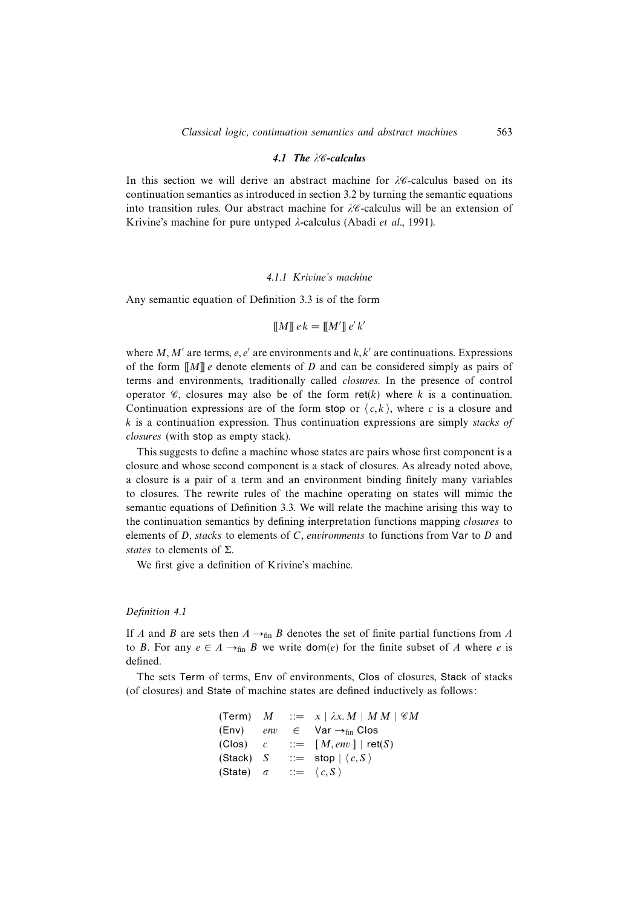#### 4.1 The  $\lambda$ C-calculus

In this section we will derive an abstract machine for  $\lambda \mathscr{C}$ -calculus based on its continuation semantics as introduced in section 3.2 by turning the semantic equations into transition rules. Our abstract machine for  $\lambda \mathscr{C}$ -calculus will be an extension of Krivine's machine for pure untyped λ-calculus (Abadi *et al.*, 1991).

#### *4.1.1 Krivine's machine*

Any semantic equation of Definition 3.3 is of the form

$$
\llbracket M \rrbracket e k = \llbracket M' \rrbracket e' k'
$$

where M, M' are terms, e, e' are environments and  $k, k'$  are continuations. Expressions of the form  $\llbracket M \rrbracket$  e denote elements of D and can be considered simply as pairs of terms and environments, traditionally called *closures*. In the presence of control operator  $\mathscr{C}$ , closures may also be of the form ret(k) where k is a continuation. Continuation expressions are of the form stop or  $\langle c, k \rangle$ , where c is a closure and k is a continuation expression. Thus continuation expressions are simply *stacks of closures* (with stop as empty stack).

This suggests to define a machine whose states are pairs whose first component is a closure and whose second component is a stack of closures. As already noted above, a closure is a pair of a term and an environment binding finitely many variables to closures. The rewrite rules of the machine operating on states will mimic the semantic equations of Definition 3.3. We will relate the machine arising this way to the continuation semantics by defining interpretation functions mapping *closures* to elements of D, *stacks* to elements of C, *environments* to functions from Var to D and *states* to elements of Σ.

We first give a definition of Krivine's machine.

#### *Definition 4.1*

If A and B are sets then  $A \rightarrow_{fin} B$  denotes the set of finite partial functions from A to B. For any  $e \in A \rightarrow_{fin} B$  we write dom(e) for the finite subset of A where e is defined.

The sets Term of terms, Env of environments, Clos of closures, Stack of stacks (of closures) and State of machine states are defined inductively as follows:

> (Term)  $M$  ::=  $x | \lambda x.M | M M | \mathcal{C}$ (Env) env  $\in$  Var  $\rightarrow$ <sub>fin</sub> Clos  $(Clos)$   $c$   $::= [M, env]$  |  $ret(S)$ (Stack) S ::= stop  $\langle c, S \rangle$ (State)  $\sigma$  ::=  $\langle c, S \rangle$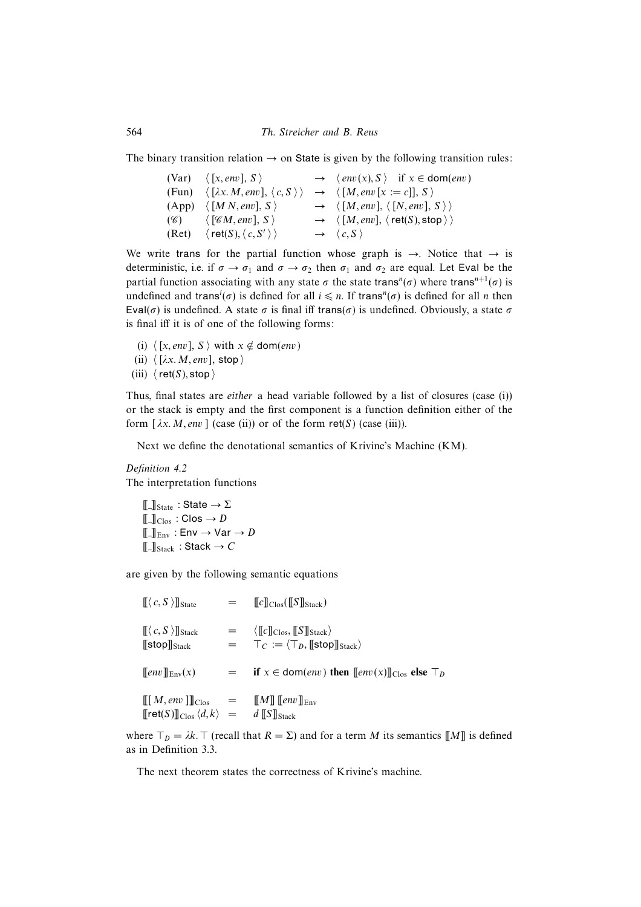564 *Th. Streicher and B. Reus*

The binary transition relation  $\rightarrow$  on State is given by the following transition rules:

(Var)  $\langle [x, env], S \rangle \rightarrow \langle env(x), S \rangle$  if  $x \in \text{dom}(env)$ (Fun)  $\langle [\lambda x. M, env], \langle c, S \rangle \rangle \rightarrow \langle [M, env[x := c]], S \rangle$ (App)  $\langle [M \ N, env], S \rangle$   $\rightarrow$   $\langle [M, env], \langle [N, env], S \rangle \rangle$ (C)  $\langle [\mathcal{C}M, env], S \rangle \rightarrow \langle [M, env], \langle ret(S), stop \rangle \rangle$  $(Ret) \langle ret(S), \langle c, S' \rangle \rangle$  $\rightarrow \langle c, S \rangle$ 

We write trans for the partial function whose graph is  $\rightarrow$ . Notice that  $\rightarrow$  is deterministic, i.e. if  $\sigma \to \sigma_1$  and  $\sigma \to \sigma_2$  then  $\sigma_1$  and  $\sigma_2$  are equal. Let Eval be the partial function associating with any state  $\sigma$  the state trans<sup>n</sup>( $\sigma$ ) where trans<sup>n+1</sup>( $\sigma$ ) is undefined and trans<sup>i</sup>( $\sigma$ ) is defined for all  $i \le n$ . If trans<sup>n</sup>( $\sigma$ ) is defined for all *n* then Eval( $\sigma$ ) is undefined. A state  $\sigma$  is final iff trans( $\sigma$ ) is undefined. Obviously, a state  $\sigma$ is final iff it is of one of the following forms:

- (i)  $\langle [x, env], S \rangle$  with  $x \notin dom(\text{env})$
- (ii)  $\langle [\lambda x. M, env], stop \rangle$
- (iii)  $\langle \text{ret}(S), \text{stop} \rangle$

Thus, final states are *either* a head variable followed by a list of closures (case (i)) or the stack is empty and the first component is a function definition either of the form  $[\lambda x. M, env]$  (case (ii)) or of the form ret(S) (case (iii)).

Next we define the denotational semantics of Krivine's Machine (KM).

#### *Definition 4.2* The interpretation functions

 $[\![ . ]\!]_{State}$ : State  $\rightarrow \Sigma$  $\llbracket \cdot \rrbracket_{\text{Clos}} : \text{Clos} \rightarrow D$  $\llbracket \_ \rrbracket_{\text{Env}} : \text{Env} \rightarrow \text{Var} \rightarrow D$  $[\![\cdot]\!]_{Stack}$ : Stack  $\rightarrow C$ 

are given by the following semantic equations

| $\llbracket \langle c, S \rangle \rrbracket_{\text{State}}$                                                                                                                                               |         | $=$ $\llbracket c \rrbracket_{\text{Clos}} (\llbracket S \rrbracket_{\text{Stack}})$                                                                    |
|-----------------------------------------------------------------------------------------------------------------------------------------------------------------------------------------------------------|---------|---------------------------------------------------------------------------------------------------------------------------------------------------------|
| $\llbracket \langle c, S \rangle \rrbracket_{\text{Stack}}$<br>$[\![\mathsf{stop}]\!]_{\text{Stack}}$                                                                                                     |         | $= \langle [\![c]\!]_{\text{Clos}}, [\![S]\!]_{\text{Stack}} \rangle$<br>$= \top_C := \langle \top_D, [\![ \mathsf{stop} ]\!]_{\mathsf{Stack}} \rangle$ |
| $\llbracket env \rrbracket_{\text{Env}}(x)$                                                                                                                                                               | $=$ $-$ | if $x \in \text{dom}(env)$ then $[\![env(x)]\!]_{\text{Clos}}$ else $\top_D$                                                                            |
| $\llbracket \llbracket M, env \rrbracket \rrbracket_{\text{Clos}} =$<br>$[\lbrack \lbrack \text{ret}(S) \rbrack \rbrack_{\text{Clos}} \langle d, k \rangle = d [\lbrack S \rbrack \rbrack_{\text{Stack}}$ |         | $\ M\ $ $\ env\ _{\text{Env}}$                                                                                                                          |

where  $\top_D = \lambda k$ . ⊤ (recall that  $R = \Sigma$ ) and for a term M its semantics [[M]] is defined as in Definition 3.3.

The next theorem states the correctness of Krivine's machine.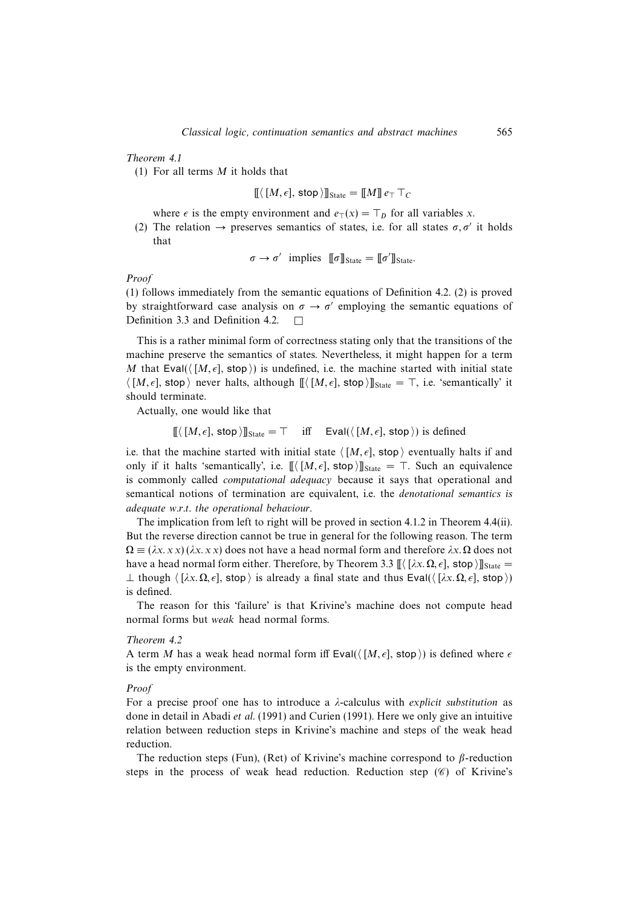*Theorem 4.1*

(1) For all terms  $M$  it holds that

 $\llbracket \langle [M, \epsilon], \text{stop} \rangle \rrbracket_{\text{State}} = \llbracket M \rrbracket \, e_\top \top_C$ 

where  $\epsilon$  is the empty environment and  $e_{\perp}(x) = \top_D$  for all variables x.

(2) The relation  $\rightarrow$  preserves semantics of states, i.e. for all states  $\sigma$ ,  $\sigma'$  it holds that

$$
\sigma \to \sigma'
$$
 implies  $[\![\sigma]\!]_{\text{State}} = [\![\sigma']\!]_{\text{State}}.$ 

*Proof*

(1) follows immediately from the semantic equations of Definition 4.2. (2) is proved by straightforward case analysis on  $\sigma \rightarrow \sigma'$  employing the semantic equations of Definition 3.3 and Definition 4.2.  $\Box$ 

This is a rather minimal form of correctness stating only that the transitions of the machine preserve the semantics of states. Nevertheless, it might happen for a term M that Eval( $\langle [M, \epsilon],$  stop)) is undefined, i.e. the machine started with initial state  $\langle [M, \epsilon],$  stop  $\rangle$  never halts, although  $[[\langle [M, \epsilon], \text{stop} \rangle]]_{\text{State}} = \top$ , i.e. 'semantically' it should terminate.

Actually, one would like that

 $[[\langle [M,\epsilon], \text{stop} \rangle]]_{\text{State}} = \top$  iff Eval( $\langle [M,\epsilon], \text{stop} \rangle$ ) is defined

i.e. that the machine started with initial state  $\langle [M, \epsilon],$  stop  $\rangle$  eventually halts if and only if it halts 'semantically', i.e.  $\llbracket \langle [M, \epsilon], \text{stop} \rangle \rrbracket_{\text{State}} = \top$ . Such an equivalence is commonly called *computational adequacy* because it says that operational and semantical notions of termination are equivalent, i.e. the *denotational semantics is adequate w.r.t. the operational behaviour*.

The implication from left to right will be proved in section 4.1.2 in Theorem 4.4(ii). But the reverse direction cannot be true in general for the following reason. The term  $\Omega \equiv (\lambda x. x x) (\lambda x. x x)$  does not have a head normal form and therefore  $\lambda x. \Omega$  does not have a head normal form either. Therefore, by Theorem 3.3  $\left[ \left\langle \left[ \lambda x, \Omega, \epsilon \right], \mathsf{stop} \right\rangle \right]$ <sub>State</sub> =  $\perp$  though  $\langle [\lambda x, \Omega, \epsilon],$  stop  $\rangle$  is already a final state and thus Eval( $\langle [\lambda x, \Omega, \epsilon],$  stop  $\rangle$ ) is defined.

The reason for this 'failure' is that Krivine's machine does not compute head normal forms but *weak* head normal forms.

#### *Theorem 4.2*

A term M has a weak head normal form iff  $Eval(\langle [M, \epsilon], stop \rangle)$  is defined where  $\epsilon$ is the empty environment.

#### *Proof*

For a precise proof one has to introduce a λ-calculus with *explicit substitution* as done in detail in Abadi *et al*. (1991) and Curien (1991). Here we only give an intuitive relation between reduction steps in Krivine's machine and steps of the weak head reduction.

The reduction steps (Fun), (Ret) of Krivine's machine correspond to  $\beta$ -reduction steps in the process of weak head reduction. Reduction step  $(\mathscr{C})$  of Krivine's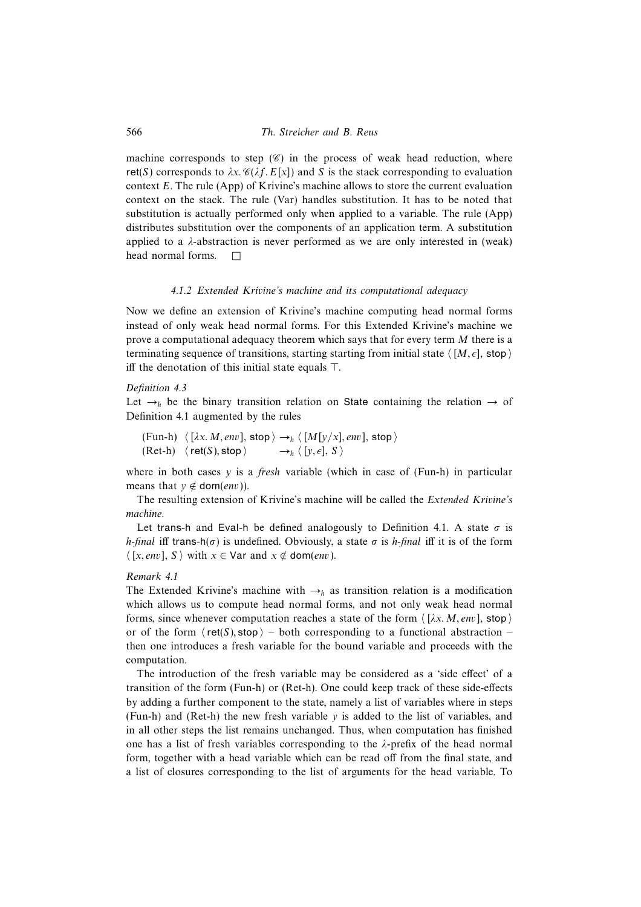machine corresponds to step  $(\mathscr{C})$  in the process of weak head reduction, where ret(S) corresponds to  $\lambda x. \mathcal{C}(\lambda f. E[x])$  and S is the stack corresponding to evaluation context E. The rule (App) of Krivine's machine allows to store the current evaluation context on the stack. The rule (Var) handles substitution. It has to be noted that substitution is actually performed only when applied to a variable. The rule (App) distributes substitution over the components of an application term. A substitution applied to a  $\lambda$ -abstraction is never performed as we are only interested in (weak) head normal forms.  $\square$ 

#### *4.1.2 Extended Krivine's machine and its computational adequacy*

Now we define an extension of Krivine's machine computing head normal forms instead of only weak head normal forms. For this Extended Krivine's machine we prove a computational adequacy theorem which says that for every term M there is a terminating sequence of transitions, starting starting from initial state  $\langle [M, \epsilon],$  stop  $\rangle$ iff the denotation of this initial state equals ⊤.

#### *Definition 4.3*

Let  $\rightarrow$ <sub>h</sub> be the binary transition relation on State containing the relation  $\rightarrow$  of Definition 4.1 augmented by the rules

```
(Fun-h) \langle \lceil \lambda x. M, env \rceil, stop \rangle \rightarrow_h \langle \lceil M[y/x], env \rceil, stop \rangle(Ret-h) \langle \text{ret}(S), \text{stop} \rangle \longrightarrow_h \langle [y, \epsilon], S \rangle
```
where in both cases y is a *fresh* variable (which in case of (Fun-h) in particular means that  $y \notin \text{dom}(env)$ ).

The resulting extension of Krivine's machine will be called the *Extended Krivine's machine*.

Let trans-h and Eval-h be defined analogously to Definition 4.1. A state  $\sigma$  is *h-final* iff trans-h(σ) is undefined. Obviously, a state σ is *h-final* iff it is of the form  $\langle$  [x, *env*], S  $\rangle$  with  $x \in \text{Var}$  and  $x \notin \text{dom}(env)$ .

#### *Remark 4.1*

The Extended Krivine's machine with  $\rightarrow$ <sub>h</sub> as transition relation is a modification which allows us to compute head normal forms, and not only weak head normal forms, since whenever computation reaches a state of the form  $\langle [\lambda x. M, env], stop \rangle$ or of the form  $\langle \text{ret}(S), \text{stop} \rangle$  – both corresponding to a functional abstraction – then one introduces a fresh variable for the bound variable and proceeds with the computation.

The introduction of the fresh variable may be considered as a 'side effect' of a transition of the form (Fun-h) or (Ret-h). One could keep track of these side-effects by adding a further component to the state, namely a list of variables where in steps (Fun-h) and (Ret-h) the new fresh variable  $\nu$  is added to the list of variables, and in all other steps the list remains unchanged. Thus, when computation has finished one has a list of fresh variables corresponding to the  $\lambda$ -prefix of the head normal form, together with a head variable which can be read off from the final state, and a list of closures corresponding to the list of arguments for the head variable. To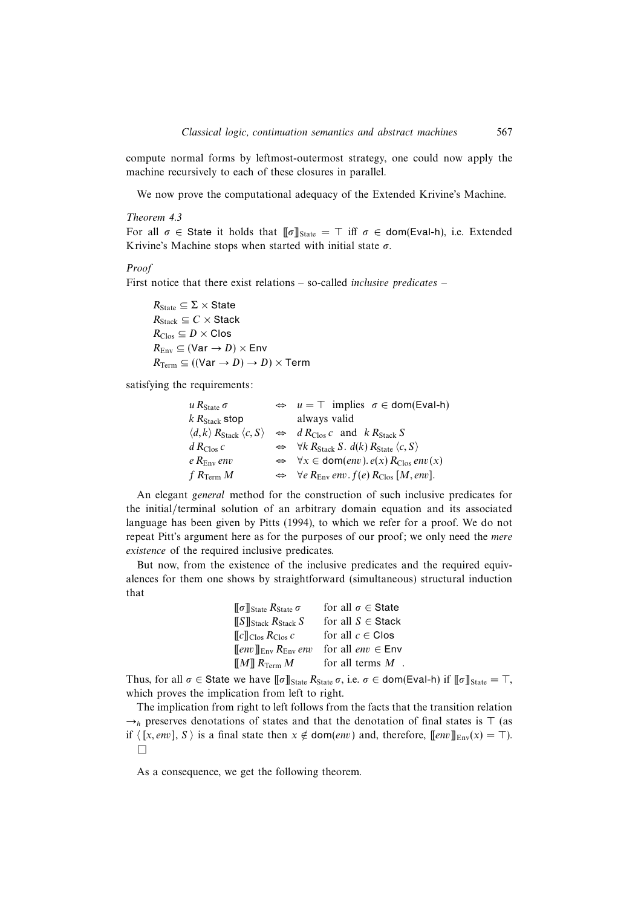compute normal forms by leftmost-outermost strategy, one could now apply the machine recursively to each of these closures in parallel.

We now prove the computational adequacy of the Extended Krivine's Machine.

#### *Theorem 4.3*

For all  $\sigma \in$  State it holds that  $[\![\sigma]\!]_{State} = \top$  iff  $\sigma \in$  dom(Eval-h), i.e. Extended Krivine's Machine stops when started with initial state  $\sigma$ .

#### *Proof*

First notice that there exist relations – so-called *inclusive predicates* –

 $R_{\text{State}} \subseteq \Sigma \times \text{State}$  $R_{\text{Stack}} \subseteq C \times \text{Stack}$  $R_{\text{Clos}} \subseteq D \times \text{Clos}$  $R_{\text{Env}} \subseteq (Var \rightarrow D) \times Env$  $R_{\text{Term}} \subseteq ((\text{Var} \rightarrow D) \rightarrow D) \times \text{Term}$ 

satisfying the requirements:

| u R $_{\rm State}\,\sigma$                                   | $\Leftrightarrow u = \top$ implies $\sigma \in \text{dom}(Eval-h)$                              |
|--------------------------------------------------------------|-------------------------------------------------------------------------------------------------|
| $k$ $R_{\rm Stack}$ stop                                     | always valid                                                                                    |
| $\langle d, k \rangle R_{\text{Stack}} \langle c, S \rangle$ | $\Leftrightarrow$ d R <sub>Clos</sub> c and k R <sub>Stack</sub> S                              |
| d R $_{\rm Clos}$ c                                          | $\Leftrightarrow$ $\forall k \, R_{\text{Stack}} S. d(k) R_{\text{State}} \langle c, S \rangle$ |
| e R $_{\rm Env}$ env                                         | $\Leftrightarrow$ $\forall x \in \text{dom}(env) \cdot e(x) R_{\text{Clos}} env(x)$             |
| $f$ $R_{\rm Term}$ $M$                                       | $\Leftrightarrow$ $\forall e \, R_{\text{Env}} \, env. f(e) \, R_{\text{Clos}} \, [M, env].$    |

An elegant *general* method for the construction of such inclusive predicates for the initial/terminal solution of an arbitrary domain equation and its associated language has been given by Pitts (1994), to which we refer for a proof. We do not repeat Pitt's argument here as for the purposes of our proof; we only need the *mere existence* of the required inclusive predicates.

But now, from the existence of the inclusive predicates and the required equivalences for them one shows by straightforward (simultaneous) structural induction that

| $\llbracket \sigma \rrbracket_{\text{State}} R_{\text{State}} \sigma$ | for all $\sigma \in$ State    |
|-----------------------------------------------------------------------|-------------------------------|
| $\llbracket S \rrbracket_{\text{Stack}} R_{\text{Stack}} S$           | for all $S \in$ Stack         |
| $\llbracket c \rrbracket_{\text{Clos}} R_{\text{Clos}} c$             | for all $c \in \mathsf{Clos}$ |
| $\llbracket env \rrbracket_{\text{Env}} R_{\text{Env}}$ env           | for all $env \in Env$         |
| $\llbracket M \rrbracket\, R_{\mathsf{Term}}\, M$                     | for all terms $M$ .           |

Thus, for all  $\sigma \in$  State we have  $[\![\sigma]\!]_{State}$  R<sub>State</sub>  $\sigma$ , i.e.  $\sigma \in$  dom(Eval-h) if  $[\![\sigma]\!]_{State} = \top$ , which proves the implication from left to right.

The implication from right to left follows from the facts that the transition relation  $\rightarrow$ <sub>h</sub> preserves denotations of states and that the denotation of final states is ⊤ (as if  $\langle [x, env], S \rangle$  is a final state then  $x \notin dom(\text{env})$  and, therefore,  $[lenv]_{Env}(x) = \top$ .  $\Box$ 

As a consequence, we get the following theorem.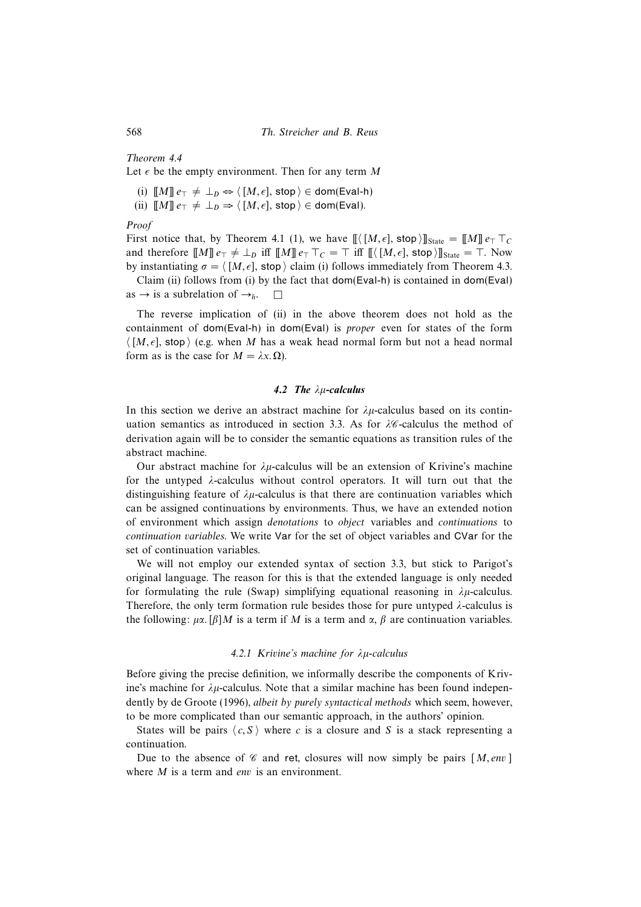568 *Th. Streicher and B. Reus*

#### *Theorem 4.4*

Let  $\epsilon$  be the empty environment. Then for any term M

- (i)  $\llbracket M \rrbracket \, e_\top \neq \bot_D \Leftrightarrow \langle \, [M, \epsilon], \, \text{stop} \, \rangle \in \text{dom}(\text{Eval-h})$
- (ii)  $\llbracket M \rrbracket \, e_\top \neq \bot_D \Rightarrow \langle \llbracket M, \epsilon \rrbracket, \text{stop} \rangle \in \text{dom}(\text{Eval}).$

#### *Proof*

First notice that, by Theorem 4.1 (1), we have  $\llbracket \langle [M, \epsilon], \text{stop} \rangle \rrbracket_{\text{State}} = \llbracket M \rrbracket \, e_\top \top_C$ and therefore  $\llbracket M \rrbracket e_{\top} \neq \bot_D$  iff  $\llbracket M \rrbracket e_{\top} \top_C = \top$  iff  $\llbracket \langle [M, \epsilon], \text{stop} \rangle \rrbracket_{\text{State}} = \top$ . Now by instantiating  $\sigma = \langle [M, \epsilon], \text{stop} \rangle$  claim (i) follows immediately from Theorem 4.3.

Claim (ii) follows from (i) by the fact that  $dom(Eval-h)$  is contained in  $dom(Eval)$ as  $\rightarrow$  is a subrelation of  $\rightarrow$ <sub>h</sub>.  $\square$ 

The reverse implication of (ii) in the above theorem does not hold as the containment of dom(Eval-h) in dom(Eval) is *proper* even for states of the form  $\langle [M, \epsilon], \text{stop} \rangle$  (e.g. when M has a weak head normal form but not a head normal form as is the case for  $M = \lambda x \cdot \Omega$ .

#### 4.2 The λµ-calculus

In this section we derive an abstract machine for  $\lambda \mu$ -calculus based on its continuation semantics as introduced in section 3.3. As for  $\lambda$ %-calculus the method of derivation again will be to consider the semantic equations as transition rules of the abstract machine.

Our abstract machine for  $\lambda \mu$ -calculus will be an extension of Krivine's machine for the untyped  $\lambda$ -calculus without control operators. It will turn out that the distinguishing feature of  $\lambda\mu$ -calculus is that there are continuation variables which can be assigned continuations by environments. Thus, we have an extended notion of environment which assign *denotations* to *object* variables and *continuations* to *continuation variables*. We write Var for the set of object variables and CVar for the set of continuation variables.

We will not employ our extended syntax of section 3.3, but stick to Parigot's original language. The reason for this is that the extended language is only needed for formulating the rule (Swap) simplifying equational reasoning in  $\lambda \mu$ -calculus. Therefore, the only term formation rule besides those for pure untyped  $\lambda$ -calculus is the following:  $\mu\alpha$ . [β]M is a term if M is a term and  $\alpha$ ,  $\beta$  are continuation variables.

#### *4.2.1 Krivine's machine for* λµ*-calculus*

Before giving the precise definition, we informally describe the components of Krivine's machine for  $\lambda \mu$ -calculus. Note that a similar machine has been found independently by de Groote (1996), *albeit by purely syntactical methods* which seem, however, to be more complicated than our semantic approach, in the authors' opinion.

States will be pairs  $\langle c, S \rangle$  where c is a closure and S is a stack representing a continuation.

Due to the absence of  $\mathscr C$  and ret, closures will now simply be pairs  $[M, env]$ where M is a term and *env* is an environment.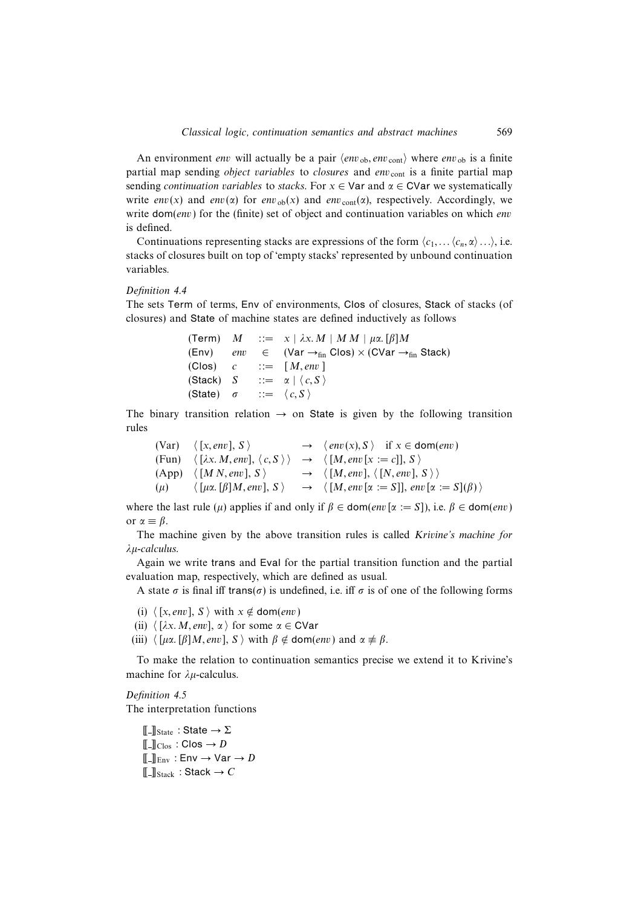An environment *env* will actually be a pair  $\langle env_{ob}, env_{cont} \rangle$  where  $env_{ob}$  is a finite partial map sending *object variables* to *closures* and *env*<sub>cont</sub> is a finite partial map sending *continuation variables* to *stacks*. For  $x \in \text{Var}$  and  $\alpha \in \text{CVar}$  we systematically write *env*(x) and *env*( $\alpha$ ) for *env*<sub>ob</sub>(x) and *env*<sub>cont</sub>( $\alpha$ ), respectively. Accordingly, we write dom(*env*) for the (finite) set of object and continuation variables on which *env* is defined.

Continuations representing stacks are expressions of the form  $\langle c_1, \ldots, c_n, \alpha \rangle \ldots$ , i.e. stacks of closures built on top of 'empty stacks' represented by unbound continuation variables.

#### *Definition 4.4*

The sets Term of terms, Env of environments, Clos of closures, Stack of stacks (of closures) and State of machine states are defined inductively as follows

(Term) 
$$
M
$$
 ::=  $x | \lambda x. M | M M | \mu \alpha. [\beta]M$   
\n(Env)  $env$  ∈  $(Var \rightarrow fin Clos) \times (CVar \rightarrow fin Stack)$   
\n(Clos)  $c$  ::=  $[M, env]$   
\n(Stack)  $S$  ::=  $\alpha | \langle c, S \rangle$   
\n(State)  $\sigma$  ::=  $\langle c, S \rangle$ 

The binary transition relation  $\rightarrow$  on State is given by the following transition rules

\n- \n
$$
\langle \text{Var} \rangle \langle [x, env], S \rangle \rightarrow \langle env(x), S \rangle \text{ if } x \in \text{dom}(env)
$$
\n
\n- \n $\langle [Lx, M, env], \langle c, S \rangle \rangle \rightarrow \langle [M, env[x := c]], S \rangle$ \n
\n- \n $\langle [M, env], S \rangle \rightarrow \langle [M, env], \langle [N, env], S \rangle \rangle$ \n
\n- \n $\langle [u, w], [\beta]M, env], S \rangle \rightarrow \langle [M, env[x := S]], env[x := S](\beta) \rangle$ \n
\n

where the last rule ( $\mu$ ) applies if and only if  $\beta \in \text{dom}(env \, [\alpha := S])$ , i.e.  $\beta \in \text{dom}(env)$ or  $\alpha \equiv \beta$ .

The machine given by the above transition rules is called *Krivine's machine for* λµ*-calculus*.

Again we write trans and Eval for the partial transition function and the partial evaluation map, respectively, which are defined as usual.

A state  $\sigma$  is final iff trans( $\sigma$ ) is undefined, i.e. iff  $\sigma$  is of one of the following forms

- (i)  $\langle [x, env], S \rangle$  with  $x \notin \text{dom}(env)$
- (ii)  $\langle [\lambda x. M, env], \alpha \rangle$  for some  $\alpha \in \mathbb{C}Var$
- (iii)  $\langle \mu \alpha, [\beta]M, env], S \rangle$  with  $\beta \notin dom(\text{env})$  and  $\alpha \not\equiv \beta$ .

To make the relation to continuation semantics precise we extend it to Krivine's machine for  $\lambda \mu$ -calculus.

*Definition 4.5* The interpretation functions

> $\llbracket - \rrbracket_{\text{State}} : \text{State} \rightarrow \Sigma$  $\llbracket \cdot \rrbracket_{\text{Clos}}$  : Clos  $\rightarrow D$  $\llbracket \cdot \rrbracket_{\text{Env}} : \text{Env} \rightarrow \text{Var} \rightarrow D$  $\llbracket \cdot \rrbracket_{\text{Stack}} : \text{Stack} \rightarrow C$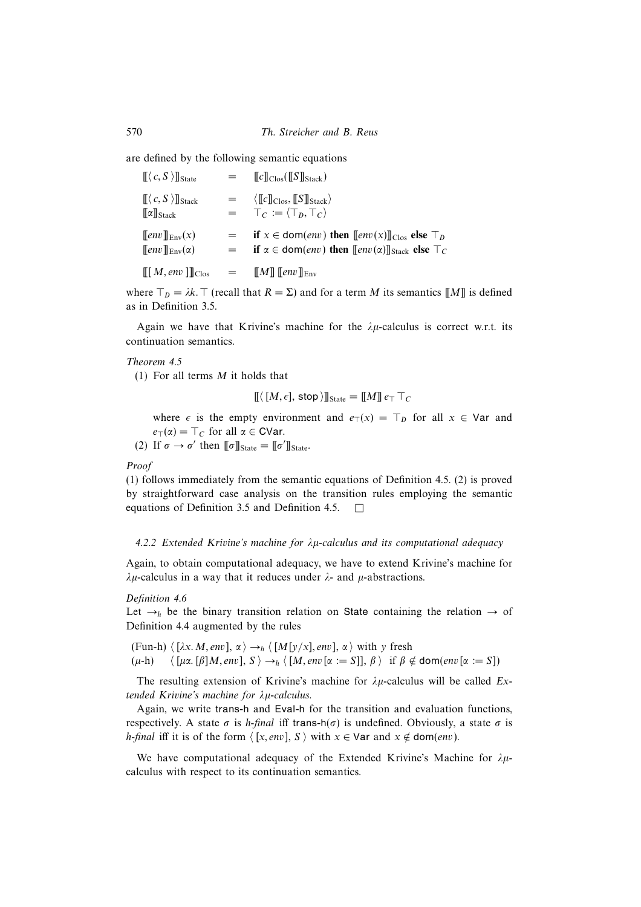are defined by the following semantic equations

| $\llbracket \langle c, S \rangle \rrbracket_{\text{State}}$                                     | $=$ $-$    | $\llbracket c \rrbracket_{\text{Clos}} (\llbracket S \rrbracket_{\text{Stack}})$                                                                                                                    |
|-------------------------------------------------------------------------------------------------|------------|-----------------------------------------------------------------------------------------------------------------------------------------------------------------------------------------------------|
| $\llbracket \langle c, S \rangle \rrbracket_{\text{Stack}}$<br>$[\![\alpha]\!]_{\text{Stack}}$  |            | $= \langle [\![c]\!]_{\text{Clos}}, [\![S]\!]_{\text{Stack}} \rangle$<br>$= \top_C := \langle \top_D, \top_C \rangle$                                                                               |
| $\llbracket env \rrbracket_{\text{Env}}(x)$<br>$\llbracket env \rrbracket_{\text{Env}}(\alpha)$ | $=$<br>$=$ | if $x \in \text{dom}(env)$ then $\llbracket env(x) \rrbracket_{\text{Clos}}$ else $\top_D$<br>if $\alpha \in \text{dom}(env)$ then $\llbracket env(\alpha) \rrbracket_{\text{Stack}}$ else $\top_C$ |
| $[[[M, env]]]_{\text{Clos}}$                                                                    |            | $=$ $\ M\ $ $\ env\ _{\text{Env}}$                                                                                                                                                                  |

where  $\top_D = \lambda k$ . ⊤ (recall that  $R = \Sigma$ ) and for a term M its semantics [[M]] is defined as in Definition 3.5.

Again we have that Krivine's machine for the  $\lambda \mu$ -calculus is correct w.r.t. its continuation semantics.

#### *Theorem 4.5*

(1) For all terms  $M$  it holds that

$$
[\![\langle\,[M,\epsilon],\,\textsf{stop}\,\rangle]\!]_{\text{State}} = [\![M]\!] \, e_\top \top_C
$$

where  $\epsilon$  is the empty environment and  $e_{\perp}(x) = \top_D$  for all  $x \in \text{Var}$  and  $e_{\top}(\alpha) = \top_C$  for all  $\alpha \in \mathsf{CVar}.$ 

(2) If  $\sigma \to \sigma'$  then  $[\![\sigma]\!]_{\text{State}} = [\![\sigma']\!]_{\text{State}}.$ 

#### *Proof*

(1) follows immediately from the semantic equations of Definition 4.5. (2) is proved by straightforward case analysis on the transition rules employing the semantic equations of Definition 3.5 and Definition 4.5.  $\Box$ 

#### *4.2.2 Extended Krivine's machine for* λµ*-calculus and its computational adequacy*

Again, to obtain computational adequacy, we have to extend Krivine's machine for  $λ<sub>μ</sub>$ -calculus in a way that it reduces under  $λ$ - and  $μ$ -abstractions.

#### *Definition 4.6*

Let  $\rightarrow$ <sub>h</sub> be the binary transition relation on State containing the relation  $\rightarrow$  of Definition 4.4 augmented by the rules

(Fun-h)  $\langle [\lambda x. M, env], \alpha \rangle \rightarrow_h \langle [M[y/x], env], \alpha \rangle$  with y fresh

 $(\mu-h) \quad \langle \mu\alpha, [\beta]M, env], S \rangle \rightarrow_h \langle [M, env[\alpha := S]], \beta \rangle \text{ if } \beta \notin \text{dom}(env[\alpha := S])$ 

The resulting extension of Krivine's machine for λµ-calculus will be called *Extended Krivine's machine for* λµ*-calculus*.

Again, we write trans-h and Eval-h for the transition and evaluation functions, respectively. A state  $\sigma$  is *h-final* iff trans-h( $\sigma$ ) is undefined. Obviously, a state  $\sigma$  is *h-final* iff it is of the form  $\langle [x, env], S \rangle$  with  $x \in \text{Var}$  and  $x \notin \text{dom}(env)$ .

We have computational adequacy of the Extended Krivine's Machine for  $\lambda \mu$ calculus with respect to its continuation semantics.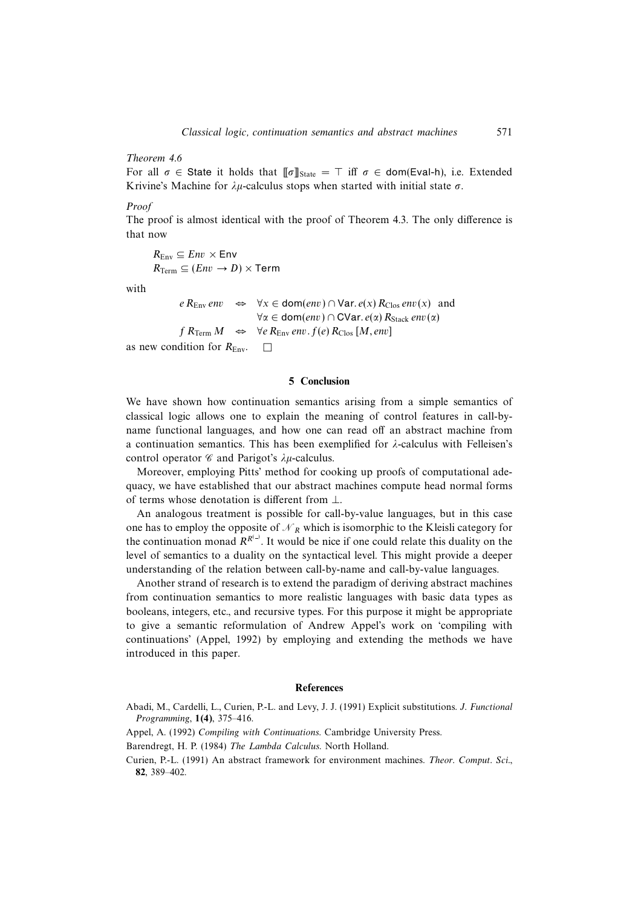#### *Theorem 4.6*

For all  $\sigma \in$  State it holds that  $\|\sigma\|_{\text{State}} = \top$  iff  $\sigma \in \text{dom}(\text{Eval-h})$ , i.e. Extended Krivine's Machine for  $\lambda \mu$ -calculus stops when started with initial state  $\sigma$ .

#### *Proof*

The proof is almost identical with the proof of Theorem 4.3. The only difference is that now

 $R_{\text{Env}} \subseteq Env \times \text{Env}$  $R_{\text{Term}} \subseteq (Env \rightarrow D) \times \text{Term}$ 

with

```
e R_{\text{Env}} env \Leftrightarrow \forall x \in \text{dom}(env) \cap \text{Var}. e(x) R_{\text{Clos}} env(x) and
                                                     \forall \alpha \in \text{dom}(env) \cap \text{CVar}. e(\alpha) R_{\text{Stack}} e n v(\alpha)f R_{\text{Term}} M \Leftrightarrow \forall e R_{\text{Env}} env. f(e) R_{\text{Clos}} [M, env]as new condition for R_{\text{Env}}. \Box
```
#### 5 Conclusion

We have shown how continuation semantics arising from a simple semantics of classical logic allows one to explain the meaning of control features in call-byname functional languages, and how one can read off an abstract machine from a continuation semantics. This has been exemplified for  $\lambda$ -calculus with Felleisen's control operator  $\mathscr C$  and Parigot's  $\lambda \mu$ -calculus.

Moreover, employing Pitts' method for cooking up proofs of computational adequacy, we have established that our abstract machines compute head normal forms of terms whose denotation is different from ⊥.

An analogous treatment is possible for call-by-value languages, but in this case one has to employ the opposite of  $\mathcal{N}_R$  which is isomorphic to the Kleisli category for the continuation monad  $R^{R^{(-)}}$ . It would be nice if one could relate this duality on the level of semantics to a duality on the syntactical level. This might provide a deeper understanding of the relation between call-by-name and call-by-value languages.

Another strand of research is to extend the paradigm of deriving abstract machines from continuation semantics to more realistic languages with basic data types as booleans, integers, etc., and recursive types. For this purpose it might be appropriate to give a semantic reformulation of Andrew Appel's work on 'compiling with continuations' (Appel, 1992) by employing and extending the methods we have introduced in this paper.

#### References

Abadi, M., Cardelli, L., Curien, P.-L. and Levy, J. J. (1991) Explicit substitutions. *J. Functional Programming*, 1(4), 375–416.

- Appel, A. (1992) *Compiling with Continuations*. Cambridge University Press.
- Barendregt, H. P. (1984) *The Lambda Calculus*. North Holland.

Curien, P.-L. (1991) An abstract framework for environment machines. *Theor. Comput. Sci.*, 82, 389–402.